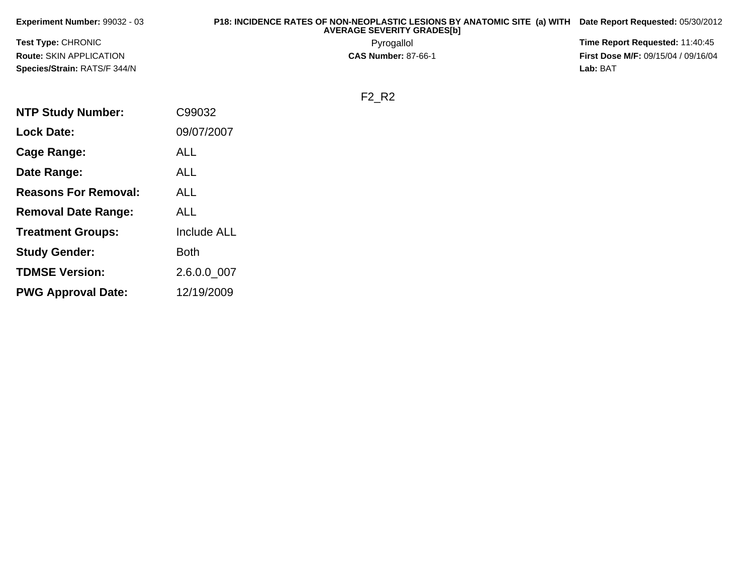| <b>Experiment Number: 99032 - 03</b> | P18: INCIDENCE RATES OF NON-NEOPLASTIC LESIONS BY ANATOMIC SITE (a) WITH<br><b>AVERAGE SEVERITY GRADES[b]</b> | Date Report Requested: 05/30/2012          |
|--------------------------------------|---------------------------------------------------------------------------------------------------------------|--------------------------------------------|
| <b>Test Type: CHRONIC</b>            | Pyrogallol                                                                                                    | Time Report Requested: 11:40:45            |
| <b>Route: SKIN APPLICATION</b>       | <b>CAS Number: 87-66-1</b>                                                                                    | <b>First Dose M/F: 09/15/04 / 09/16/04</b> |
| Species/Strain: RATS/F 344/N         |                                                                                                               | Lab: BAT                                   |
|                                      |                                                                                                               |                                            |

F2\_R2

| C99032             |
|--------------------|
| 09/07/2007         |
| ALL                |
| ALL                |
| <b>ALL</b>         |
| ALL                |
| <b>Include ALL</b> |
| Both               |
| 2.6.0.0_007        |
| 12/19/2009         |
|                    |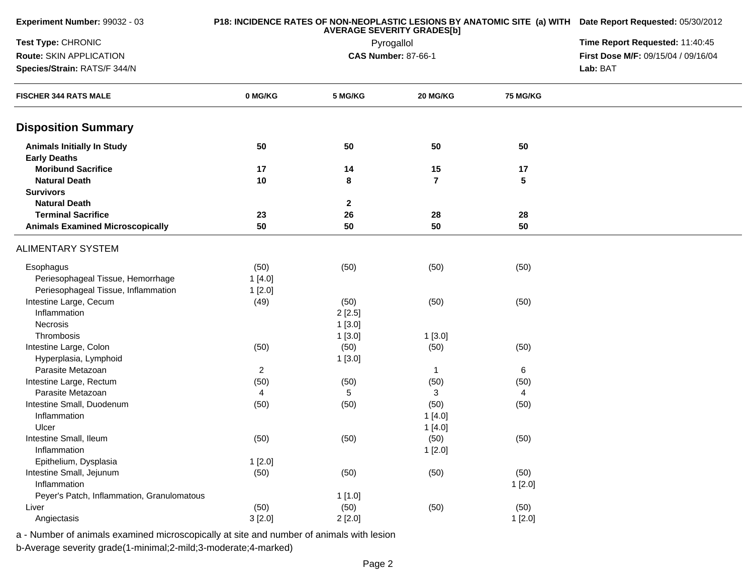| Experiment Number: 99032 - 03                            |                | P18: INCIDENCE RATES OF NON-NEOPLASTIC LESIONS BY ANATOMIC SITE (a) WITH Date Report Requested: 05/30/2012<br>Time Report Requested: 11:40:45 |                            |                 |                                     |
|----------------------------------------------------------|----------------|-----------------------------------------------------------------------------------------------------------------------------------------------|----------------------------|-----------------|-------------------------------------|
| Test Type: CHRONIC                                       |                |                                                                                                                                               |                            |                 |                                     |
| Route: SKIN APPLICATION                                  |                |                                                                                                                                               | <b>CAS Number: 87-66-1</b> |                 | First Dose M/F: 09/15/04 / 09/16/04 |
| Species/Strain: RATS/F 344/N                             |                |                                                                                                                                               |                            |                 | Lab: BAT                            |
| <b>FISCHER 344 RATS MALE</b>                             | 0 MG/KG        | 5 MG/KG                                                                                                                                       | 20 MG/KG                   | <b>75 MG/KG</b> |                                     |
| <b>Disposition Summary</b>                               |                |                                                                                                                                               |                            |                 |                                     |
| <b>Animals Initially In Study</b><br><b>Early Deaths</b> | 50             | 50                                                                                                                                            | 50                         | 50              |                                     |
| <b>Moribund Sacrifice</b>                                | 17             | 14                                                                                                                                            | 15                         | 17              |                                     |
| <b>Natural Death</b>                                     | 10             | 8                                                                                                                                             | $\overline{7}$             | $5\phantom{.0}$ |                                     |
| <b>Survivors</b>                                         |                |                                                                                                                                               |                            |                 |                                     |
| <b>Natural Death</b>                                     |                | $\mathbf{2}$                                                                                                                                  |                            |                 |                                     |
| <b>Terminal Sacrifice</b>                                | 23             | 26                                                                                                                                            | 28                         | 28              |                                     |
| <b>Animals Examined Microscopically</b>                  | 50             | 50                                                                                                                                            | 50                         | 50              |                                     |
| <b>ALIMENTARY SYSTEM</b>                                 |                |                                                                                                                                               |                            |                 |                                     |
| Esophagus<br>Periesophageal Tissue, Hemorrhage           | (50)<br>1[4.0] | (50)                                                                                                                                          | (50)                       | (50)            |                                     |
| Periesophageal Tissue, Inflammation                      | 1[2.0]         |                                                                                                                                               |                            |                 |                                     |
| Intestine Large, Cecum                                   | (49)           | (50)                                                                                                                                          | (50)                       | (50)            |                                     |
| Inflammation                                             |                | 2[2.5]                                                                                                                                        |                            |                 |                                     |
| Necrosis                                                 |                | 1[3.0]                                                                                                                                        |                            |                 |                                     |
| Thrombosis                                               |                | 1[3.0]                                                                                                                                        | 1[3.0]                     |                 |                                     |
| Intestine Large, Colon                                   | (50)           | (50)                                                                                                                                          | (50)                       | (50)            |                                     |
| Hyperplasia, Lymphoid                                    |                | 1[3.0]                                                                                                                                        |                            |                 |                                     |
| Parasite Metazoan                                        | $\overline{2}$ |                                                                                                                                               | 1                          | 6               |                                     |
| Intestine Large, Rectum                                  | (50)           | (50)                                                                                                                                          | (50)                       | (50)            |                                     |
| Parasite Metazoan                                        | $\overline{4}$ | 5                                                                                                                                             | 3                          | 4               |                                     |
| Intestine Small, Duodenum                                | (50)           | (50)                                                                                                                                          | (50)                       | (50)            |                                     |
| Inflammation                                             |                |                                                                                                                                               | 1[4.0]                     |                 |                                     |
| Ulcer                                                    |                |                                                                                                                                               | 1[4.0]                     |                 |                                     |
| Intestine Small, Ileum                                   | (50)           | (50)                                                                                                                                          | (50)                       | (50)            |                                     |
| Inflammation                                             |                |                                                                                                                                               | 1[2.0]                     |                 |                                     |
| Epithelium, Dysplasia                                    | 1[2.0]         |                                                                                                                                               |                            |                 |                                     |
| Intestine Small, Jejunum                                 | (50)           | (50)                                                                                                                                          | (50)                       | (50)            |                                     |
| Inflammation                                             |                |                                                                                                                                               |                            | 1[2.0]          |                                     |
| Peyer's Patch, Inflammation, Granulomatous               |                | 1[1.0]                                                                                                                                        |                            |                 |                                     |
| Liver                                                    | (50)           | (50)                                                                                                                                          | (50)                       | (50)            |                                     |
| Angiectasis                                              | 3[2.0]         | 2[2.0]                                                                                                                                        |                            | 1[2.0]          |                                     |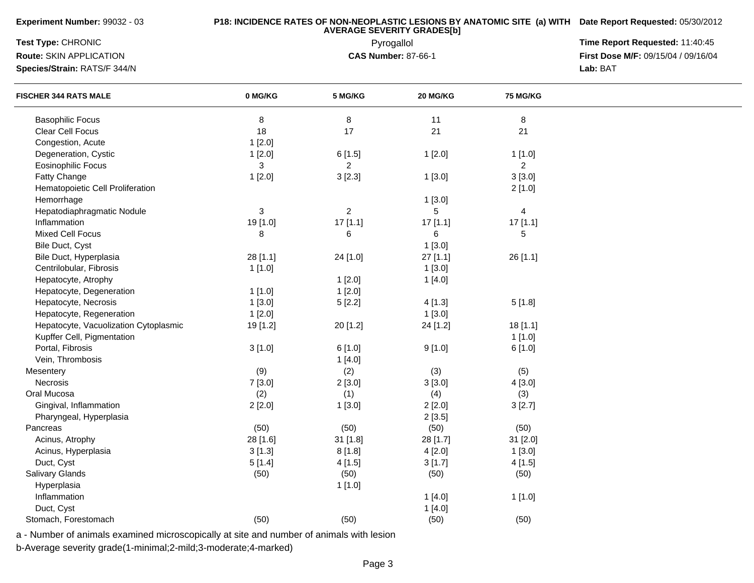**Experiment Number:** 99032 - 03

## **P18: INCIDENCE RATES OF NON-NEOPLASTIC LESIONS BY ANATOMIC SITE (a) WITH AVERAGE SEVERITY GRADES[b] Date Report Requested:** 05/30/2012

**Test Type:** CHRONIC**Route:** SKIN APPLICATION**Species/Strain:** RATS/F 344/N**Lab:** BAT

 Pyrogallol **Time Report Requested:** 11:40:45 **First Dose M/F:** 09/15/04 / 09/16/04 Lab: BAT

| <b>FISCHER 344 RATS MALE</b>          | 0 MG/KG      | 5 MG/KG        | 20 MG/KG | 75 MG/KG       |  |
|---------------------------------------|--------------|----------------|----------|----------------|--|
| <b>Basophilic Focus</b>               | $\bf 8$      | 8              | 11       | 8              |  |
| Clear Cell Focus                      | 18           | 17             | 21       | 21             |  |
| Congestion, Acute                     | 1[2.0]       |                |          |                |  |
| Degeneration, Cystic                  | 1[2.0]       | 6[1.5]         | 1[2.0]   | 1[1.0]         |  |
| <b>Eosinophilic Focus</b>             | 3            | $\overline{c}$ |          | $\overline{2}$ |  |
| Fatty Change                          | 1[2.0]       | 3[2.3]         | 1[3.0]   | 3[3.0]         |  |
| Hematopoietic Cell Proliferation      |              |                |          | 2[1.0]         |  |
| Hemorrhage                            |              |                | 1[3.0]   |                |  |
| Hepatodiaphragmatic Nodule            | $\mathbf{3}$ | $\overline{2}$ | 5        | $\overline{4}$ |  |
| Inflammation                          | 19 [1.0]     | 17 [1.1]       | 17[1.1]  | 17[1.1]        |  |
| <b>Mixed Cell Focus</b>               | 8            | 6              | 6        | 5              |  |
| Bile Duct, Cyst                       |              |                | 1[3.0]   |                |  |
| Bile Duct, Hyperplasia                | 28 [1.1]     | 24 [1.0]       | 27[1.1]  | 26[1.1]        |  |
| Centrilobular, Fibrosis               | 1[1.0]       |                | 1[3.0]   |                |  |
| Hepatocyte, Atrophy                   |              | 1[2.0]         | 1[4.0]   |                |  |
| Hepatocyte, Degeneration              | 1[1.0]       | 1[2.0]         |          |                |  |
| Hepatocyte, Necrosis                  | 1[3.0]       | 5[2.2]         | 4[1.3]   | 5[1.8]         |  |
| Hepatocyte, Regeneration              | 1[2.0]       |                | 1[3.0]   |                |  |
| Hepatocyte, Vacuolization Cytoplasmic | 19 [1.2]     | 20 [1.2]       | 24 [1.2] | 18[1.1]        |  |
| Kupffer Cell, Pigmentation            |              |                |          | 1[1.0]         |  |
| Portal, Fibrosis                      | 3[1.0]       | 6[1.0]         | 9[1.0]   | 6[1.0]         |  |
| Vein, Thrombosis                      |              | 1[4.0]         |          |                |  |
| Mesentery                             | (9)          | (2)            | (3)      | (5)            |  |
| Necrosis                              | 7[3.0]       | 2[3.0]         | 3[3.0]   | 4[3.0]         |  |
| Oral Mucosa                           | (2)          | (1)            | (4)      | (3)            |  |
| Gingival, Inflammation                | 2[2.0]       | 1[3.0]         | 2[2.0]   | 3[2.7]         |  |
| Pharyngeal, Hyperplasia               |              |                | 2[3.5]   |                |  |
| Pancreas                              | (50)         | (50)           | (50)     | (50)           |  |
| Acinus, Atrophy                       | 28 [1.6]     | 31 [1.8]       | 28 [1.7] | 31 [2.0]       |  |
| Acinus, Hyperplasia                   | 3[1.3]       | 8[1.8]         | 4[2.0]   | 1[3.0]         |  |
| Duct, Cyst                            | 5[1.4]       | 4[1.5]         | 3[1.7]   | 4[1.5]         |  |
| Salivary Glands                       | (50)         | (50)           | (50)     | (50)           |  |
| Hyperplasia                           |              | 1[1.0]         |          |                |  |
| Inflammation                          |              |                | 1[4.0]   | 1[1.0]         |  |
| Duct, Cyst                            |              |                | 1[4.0]   |                |  |
| Stomach, Forestomach                  | (50)         | (50)           | (50)     | (50)           |  |

a - Number of animals examined microscopically at site and number of animals with lesion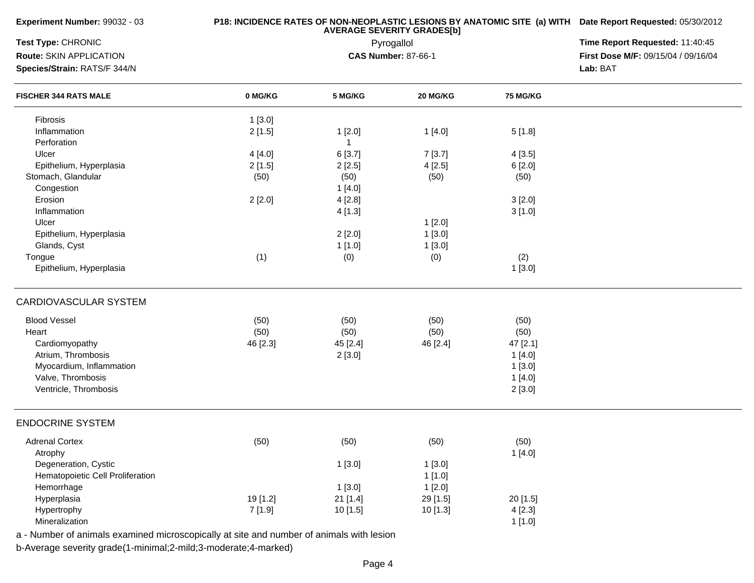| Experiment Number: 99032 - 03                                                            |          | P18: INCIDENCE RATES OF NON-NEOPLASTIC LESIONS BY ANATOMIC SITE (a) WITH Date Report Requested: 05/30/2012<br>Time Report Requested: 11:40:45 |                                          |                 |                                     |
|------------------------------------------------------------------------------------------|----------|-----------------------------------------------------------------------------------------------------------------------------------------------|------------------------------------------|-----------------|-------------------------------------|
| Test Type: CHRONIC                                                                       |          |                                                                                                                                               |                                          |                 |                                     |
| Route: SKIN APPLICATION                                                                  |          |                                                                                                                                               | Pyrogallol<br><b>CAS Number: 87-66-1</b> |                 | First Dose M/F: 09/15/04 / 09/16/04 |
| Species/Strain: RATS/F 344/N                                                             |          |                                                                                                                                               |                                          |                 | Lab: BAT                            |
| <b>FISCHER 344 RATS MALE</b>                                                             | 0 MG/KG  | 5 MG/KG                                                                                                                                       | 20 MG/KG                                 | <b>75 MG/KG</b> |                                     |
| Fibrosis                                                                                 | 1[3.0]   |                                                                                                                                               |                                          |                 |                                     |
| Inflammation                                                                             | 2[1.5]   | 1[2.0]                                                                                                                                        | 1[4.0]                                   | 5[1.8]          |                                     |
| Perforation                                                                              |          | $\mathbf{1}$                                                                                                                                  |                                          |                 |                                     |
| Ulcer                                                                                    | 4[4.0]   | 6[3.7]                                                                                                                                        | 7[3.7]                                   | 4[3.5]          |                                     |
| Epithelium, Hyperplasia                                                                  | 2[1.5]   | 2[2.5]                                                                                                                                        | 4[2.5]                                   | 6[2.0]          |                                     |
| Stomach, Glandular                                                                       | (50)     | (50)                                                                                                                                          | (50)                                     | (50)            |                                     |
| Congestion                                                                               |          | 1[4.0]                                                                                                                                        |                                          |                 |                                     |
| Erosion                                                                                  | 2[2.0]   | 4[2.8]                                                                                                                                        |                                          | 3[2.0]          |                                     |
| Inflammation                                                                             |          | 4[1.3]                                                                                                                                        |                                          | 3[1.0]          |                                     |
| Ulcer                                                                                    |          |                                                                                                                                               | 1[2.0]                                   |                 |                                     |
| Epithelium, Hyperplasia                                                                  |          | 2[2.0]                                                                                                                                        | 1[3.0]                                   |                 |                                     |
| Glands, Cyst                                                                             |          | 1[1.0]                                                                                                                                        | 1[3.0]                                   |                 |                                     |
| Tongue                                                                                   | (1)      | (0)                                                                                                                                           | (0)                                      | (2)             |                                     |
| Epithelium, Hyperplasia                                                                  |          |                                                                                                                                               |                                          | 1[3.0]          |                                     |
| <b>CARDIOVASCULAR SYSTEM</b>                                                             |          |                                                                                                                                               |                                          |                 |                                     |
| <b>Blood Vessel</b>                                                                      | (50)     | (50)                                                                                                                                          | (50)                                     | (50)            |                                     |
| Heart                                                                                    | (50)     | (50)                                                                                                                                          | (50)                                     | (50)            |                                     |
| Cardiomyopathy                                                                           | 46 [2.3] | 45 [2.4]                                                                                                                                      | 46 [2.4]                                 | 47 [2.1]        |                                     |
| Atrium, Thrombosis                                                                       |          | 2[3.0]                                                                                                                                        |                                          | 1 [4.0]         |                                     |
| Myocardium, Inflammation                                                                 |          |                                                                                                                                               |                                          | 1[3.0]          |                                     |
| Valve, Thrombosis                                                                        |          |                                                                                                                                               |                                          |                 |                                     |
| Ventricle, Thrombosis                                                                    |          |                                                                                                                                               |                                          | 1[4.0]          |                                     |
|                                                                                          |          |                                                                                                                                               |                                          | 2[3.0]          |                                     |
| <b>ENDOCRINE SYSTEM</b>                                                                  |          |                                                                                                                                               |                                          |                 |                                     |
| <b>Adrenal Cortex</b>                                                                    | (50)     | (50)                                                                                                                                          | (50)                                     | (50)            |                                     |
| Atrophy                                                                                  |          |                                                                                                                                               |                                          | 1[4.0]          |                                     |
| Degeneration, Cystic                                                                     |          | 1[3.0]                                                                                                                                        | 1[3.0]                                   |                 |                                     |
| Hematopoietic Cell Proliferation                                                         |          |                                                                                                                                               | 1[1.0]                                   |                 |                                     |
| Hemorrhage                                                                               |          | 1[3.0]                                                                                                                                        | 1[2.0]                                   |                 |                                     |
| Hyperplasia                                                                              | 19 [1.2] | 21 [1.4]                                                                                                                                      | 29 [1.5]                                 | 20 [1.5]        |                                     |
| Hypertrophy                                                                              | 7 [1.9]  | 10 [1.5]                                                                                                                                      | 10 [1.3]                                 | 4[2.3]          |                                     |
| Mineralization                                                                           |          |                                                                                                                                               |                                          | 1[1.0]          |                                     |
| a - Number of animals examined microscopically at site and number of animals with lesion |          |                                                                                                                                               |                                          |                 |                                     |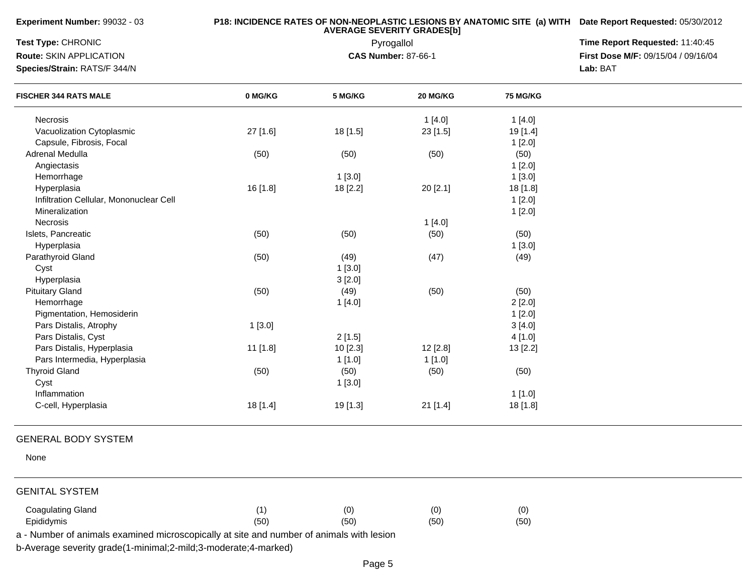| Experiment Number: 99032 - 03                                                            |          | P18: INCIDENCE RATES OF NON-NEOPLASTIC LESIONS BY ANATOMIC SITE (a) WITH Date Report Requested: 05/30/2012 |                                          |                 |                                     |
|------------------------------------------------------------------------------------------|----------|------------------------------------------------------------------------------------------------------------|------------------------------------------|-----------------|-------------------------------------|
| Test Type: CHRONIC                                                                       |          | Time Report Requested: 11:40:45                                                                            |                                          |                 |                                     |
| Route: SKIN APPLICATION                                                                  |          |                                                                                                            | Pyrogallol<br><b>CAS Number: 87-66-1</b> |                 | First Dose M/F: 09/15/04 / 09/16/04 |
| Species/Strain: RATS/F 344/N                                                             |          |                                                                                                            |                                          |                 | Lab: BAT                            |
| <b>FISCHER 344 RATS MALE</b>                                                             | 0 MG/KG  | 5 MG/KG                                                                                                    | 20 MG/KG                                 | <b>75 MG/KG</b> |                                     |
| Necrosis                                                                                 |          |                                                                                                            | 1[4.0]                                   | 1[4.0]          |                                     |
| Vacuolization Cytoplasmic                                                                | 27 [1.6] | 18 [1.5]                                                                                                   | 23 [1.5]                                 | 19 [1.4]        |                                     |
| Capsule, Fibrosis, Focal                                                                 |          |                                                                                                            |                                          | 1[2.0]          |                                     |
| Adrenal Medulla                                                                          | (50)     | (50)                                                                                                       | (50)                                     | (50)            |                                     |
| Angiectasis                                                                              |          |                                                                                                            |                                          | 1[2.0]          |                                     |
| Hemorrhage                                                                               |          | 1[3.0]                                                                                                     |                                          | 1[3.0]          |                                     |
| Hyperplasia                                                                              | 16 [1.8] | 18 [2.2]                                                                                                   | 20 [2.1]                                 | 18 [1.8]        |                                     |
| Infiltration Cellular, Mononuclear Cell                                                  |          |                                                                                                            |                                          | 1[2.0]          |                                     |
| Mineralization                                                                           |          |                                                                                                            |                                          | 1[2.0]          |                                     |
| Necrosis                                                                                 |          |                                                                                                            | 1[4.0]                                   |                 |                                     |
| Islets, Pancreatic                                                                       | (50)     | (50)                                                                                                       | (50)                                     | (50)            |                                     |
| Hyperplasia                                                                              |          |                                                                                                            |                                          | 1[3.0]          |                                     |
| Parathyroid Gland                                                                        | (50)     | (49)                                                                                                       | (47)                                     | (49)            |                                     |
| Cyst                                                                                     |          | 1[3.0]                                                                                                     |                                          |                 |                                     |
| Hyperplasia                                                                              |          | 3[2.0]                                                                                                     |                                          |                 |                                     |
| <b>Pituitary Gland</b>                                                                   | (50)     | (49)                                                                                                       | (50)                                     | (50)            |                                     |
| Hemorrhage                                                                               |          | 1[4.0]                                                                                                     |                                          | 2[2.0]          |                                     |
| Pigmentation, Hemosiderin                                                                |          |                                                                                                            |                                          | 1[2.0]          |                                     |
| Pars Distalis, Atrophy                                                                   | 1[3.0]   |                                                                                                            |                                          | 3[4.0]          |                                     |
| Pars Distalis, Cyst                                                                      |          | 2[1.5]                                                                                                     |                                          | 4[1.0]          |                                     |
| Pars Distalis, Hyperplasia                                                               | 11 [1.8] | 10 [2.3]                                                                                                   | 12 [2.8]                                 | 13 [2.2]        |                                     |
| Pars Intermedia, Hyperplasia                                                             |          | 1 [1.0]                                                                                                    | 1[1.0]                                   |                 |                                     |
| <b>Thyroid Gland</b>                                                                     | (50)     | (50)                                                                                                       | (50)                                     | (50)            |                                     |
| Cyst                                                                                     |          | 1[3.0]                                                                                                     |                                          |                 |                                     |
| Inflammation                                                                             |          |                                                                                                            |                                          | 1[1.0]          |                                     |
| C-cell, Hyperplasia                                                                      | 18 [1.4] | 19 [1.3]                                                                                                   | 21 [1.4]                                 | 18 [1.8]        |                                     |
| <b>GENERAL BODY SYSTEM</b>                                                               |          |                                                                                                            |                                          |                 |                                     |
| None                                                                                     |          |                                                                                                            |                                          |                 |                                     |
| <b>GENITAL SYSTEM</b>                                                                    |          |                                                                                                            |                                          |                 |                                     |
| <b>Coagulating Gland</b>                                                                 | (1)      | (0)                                                                                                        | (0)                                      | (0)             |                                     |
| Epididymis                                                                               | (50)     | (50)                                                                                                       | (50)                                     | (50)            |                                     |
| a - Number of animals examined microscopically at site and number of animals with lesion |          |                                                                                                            |                                          |                 |                                     |
|                                                                                          |          |                                                                                                            |                                          |                 |                                     |
| b-Average severity grade(1-minimal;2-mild;3-moderate;4-marked)                           |          |                                                                                                            |                                          |                 |                                     |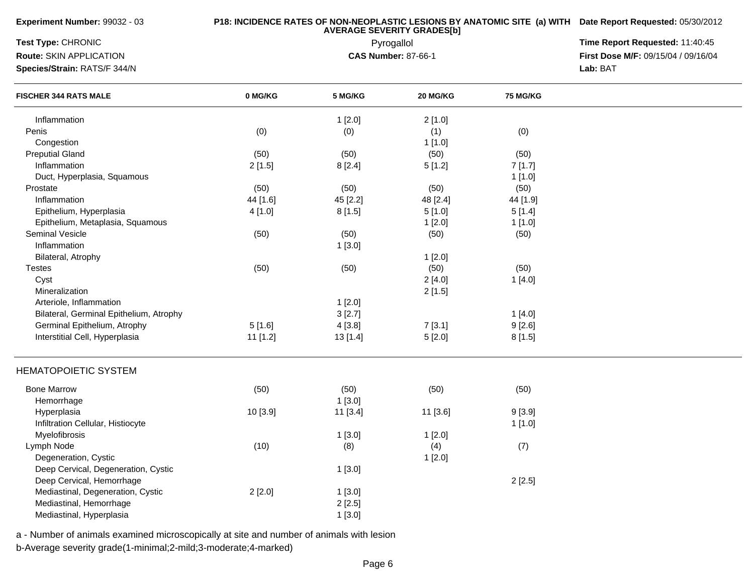| Experiment Number: 99032 - 03           |          | P18: INCIDENCE RATES OF NON-NEOPLASTIC LESIONS BY ANATOMIC SITE (a) WITH Date Report Requested: 05/30/2012<br>Time Report Requested: 11:40:45 |                                          |          |                                     |
|-----------------------------------------|----------|-----------------------------------------------------------------------------------------------------------------------------------------------|------------------------------------------|----------|-------------------------------------|
| Test Type: CHRONIC                      |          |                                                                                                                                               |                                          |          |                                     |
| Route: SKIN APPLICATION                 |          |                                                                                                                                               | Pyrogallol<br><b>CAS Number: 87-66-1</b> |          | First Dose M/F: 09/15/04 / 09/16/04 |
| Species/Strain: RATS/F 344/N            |          |                                                                                                                                               |                                          |          | Lab: BAT                            |
| <b>FISCHER 344 RATS MALE</b>            | 0 MG/KG  | 5 MG/KG                                                                                                                                       | 20 MG/KG                                 | 75 MG/KG |                                     |
| Inflammation                            |          | 1[2.0]                                                                                                                                        | 2[1.0]                                   |          |                                     |
| Penis                                   | (0)      | (0)                                                                                                                                           | (1)                                      | (0)      |                                     |
| Congestion                              |          |                                                                                                                                               | 1[1.0]                                   |          |                                     |
| <b>Preputial Gland</b>                  | (50)     | (50)                                                                                                                                          | (50)                                     | (50)     |                                     |
| Inflammation                            | 2[1.5]   | 8[2.4]                                                                                                                                        | 5[1.2]                                   | 7[1.7]   |                                     |
| Duct, Hyperplasia, Squamous             |          |                                                                                                                                               |                                          | 1[1.0]   |                                     |
| Prostate                                | (50)     | (50)                                                                                                                                          | (50)                                     | (50)     |                                     |
| Inflammation                            | 44 [1.6] | 45 [2.2]                                                                                                                                      | 48 [2.4]                                 | 44 [1.9] |                                     |
| Epithelium, Hyperplasia                 | 4[1.0]   | 8[1.5]                                                                                                                                        | 5[1.0]                                   | 5[1.4]   |                                     |
| Epithelium, Metaplasia, Squamous        |          |                                                                                                                                               | 1[2.0]                                   | 1[1.0]   |                                     |
| Seminal Vesicle                         | (50)     | (50)                                                                                                                                          | (50)                                     | (50)     |                                     |
| Inflammation                            |          | 1[3.0]                                                                                                                                        |                                          |          |                                     |
| Bilateral, Atrophy                      |          |                                                                                                                                               | 1[2.0]                                   |          |                                     |
| <b>Testes</b>                           | (50)     | (50)                                                                                                                                          | (50)                                     | (50)     |                                     |
| Cyst                                    |          |                                                                                                                                               | 2[4.0]                                   | 1[4.0]   |                                     |
| Mineralization                          |          |                                                                                                                                               | 2[1.5]                                   |          |                                     |
| Arteriole, Inflammation                 |          | 1[2.0]                                                                                                                                        |                                          |          |                                     |
| Bilateral, Germinal Epithelium, Atrophy |          | 3[2.7]                                                                                                                                        |                                          | 1[4.0]   |                                     |
| Germinal Epithelium, Atrophy            | 5[1.6]   | 4[3.8]                                                                                                                                        | 7[3.1]                                   | 9[2.6]   |                                     |
| Interstitial Cell, Hyperplasia          | 11 [1.2] | 13 [1.4]                                                                                                                                      | 5[2.0]                                   | 8[1.5]   |                                     |
| <b>HEMATOPOIETIC SYSTEM</b>             |          |                                                                                                                                               |                                          |          |                                     |
| <b>Bone Marrow</b>                      | (50)     | (50)                                                                                                                                          | (50)                                     | (50)     |                                     |
| Hemorrhage                              |          | 1[3.0]                                                                                                                                        |                                          |          |                                     |
| Hyperplasia                             | 10 [3.9] | 11 [3.4]                                                                                                                                      | 11 [3.6]                                 | 9[3.9]   |                                     |
| Infiltration Cellular, Histiocyte       |          |                                                                                                                                               |                                          | 1[1.0]   |                                     |
| Myelofibrosis                           |          | 1[3.0]                                                                                                                                        | 1[2.0]                                   |          |                                     |
| Lymph Node                              | (10)     | (8)                                                                                                                                           | (4)                                      | (7)      |                                     |
| Degeneration, Cystic                    |          |                                                                                                                                               | 1[2.0]                                   |          |                                     |
| Deep Cervical, Degeneration, Cystic     |          | 1[3.0]                                                                                                                                        |                                          |          |                                     |
| Deep Cervical, Hemorrhage               |          |                                                                                                                                               |                                          | 2[2.5]   |                                     |
| Mediastinal, Degeneration, Cystic       | 2[2.0]   | 1[3.0]                                                                                                                                        |                                          |          |                                     |
| Mediastinal, Hemorrhage                 |          | 2[2.5]                                                                                                                                        |                                          |          |                                     |
| Mediastinal, Hyperplasia                |          | 1[3.0]                                                                                                                                        |                                          |          |                                     |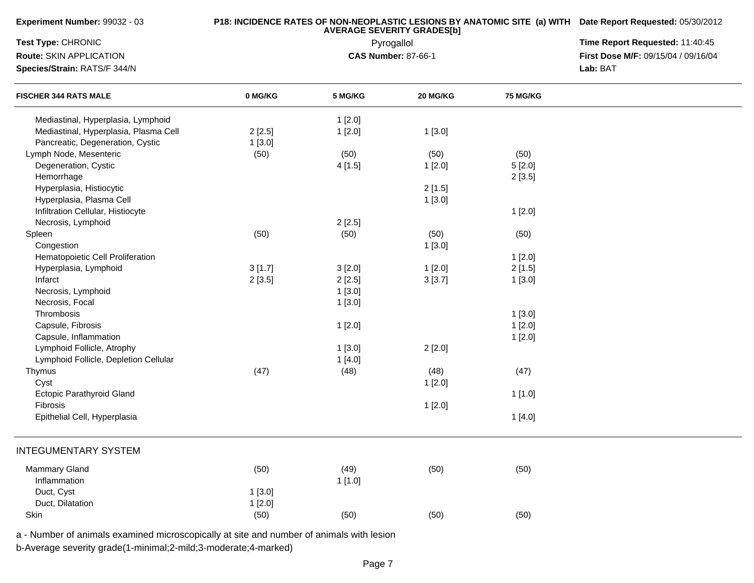| Experiment Number: 99032 - 03         |         | P18: INCIDENCE RATES OF NON-NEOPLASTIC LESIONS BY ANATOMIC SITE (a) WITH Date Report Requested: 05/30/2012<br>Time Report Requested: 11:40:45 |                            |          |                                     |
|---------------------------------------|---------|-----------------------------------------------------------------------------------------------------------------------------------------------|----------------------------|----------|-------------------------------------|
| Test Type: CHRONIC                    |         |                                                                                                                                               |                            |          |                                     |
| Route: SKIN APPLICATION               |         |                                                                                                                                               | <b>CAS Number: 87-66-1</b> |          | First Dose M/F: 09/15/04 / 09/16/04 |
| Species/Strain: RATS/F 344/N          |         |                                                                                                                                               |                            |          | Lab: BAT                            |
| <b>FISCHER 344 RATS MALE</b>          | 0 MG/KG | 5 MG/KG                                                                                                                                       | 20 MG/KG                   | 75 MG/KG |                                     |
| Mediastinal, Hyperplasia, Lymphoid    |         | 1[2.0]                                                                                                                                        |                            |          |                                     |
| Mediastinal, Hyperplasia, Plasma Cell | 2[2.5]  | 1[2.0]                                                                                                                                        | 1[3.0]                     |          |                                     |
| Pancreatic, Degeneration, Cystic      | 1[3.0]  |                                                                                                                                               |                            |          |                                     |
| Lymph Node, Mesenteric                | (50)    | (50)                                                                                                                                          | (50)                       | (50)     |                                     |
| Degeneration, Cystic                  |         | 4[1.5]                                                                                                                                        | 1[2.0]                     | 5[2.0]   |                                     |
| Hemorrhage                            |         |                                                                                                                                               |                            | 2[3.5]   |                                     |
| Hyperplasia, Histiocytic              |         |                                                                                                                                               | 2[1.5]                     |          |                                     |
| Hyperplasia, Plasma Cell              |         |                                                                                                                                               | 1[3.0]                     |          |                                     |
| Infiltration Cellular, Histiocyte     |         |                                                                                                                                               |                            | 1[2.0]   |                                     |
| Necrosis, Lymphoid                    |         | 2[2.5]                                                                                                                                        |                            |          |                                     |
| Spleen                                | (50)    | (50)                                                                                                                                          | (50)                       | (50)     |                                     |
| Congestion                            |         |                                                                                                                                               | 1[3.0]                     |          |                                     |
| Hematopoietic Cell Proliferation      |         |                                                                                                                                               |                            | 1[2.0]   |                                     |
| Hyperplasia, Lymphoid                 | 3[1.7]  | 3[2.0]                                                                                                                                        | 1[2.0]                     | 2[1.5]   |                                     |
| Infarct                               | 2[3.5]  | 2[2.5]                                                                                                                                        | 3[3.7]                     | 1[3.0]   |                                     |
| Necrosis, Lymphoid                    |         | 1[3.0]                                                                                                                                        |                            |          |                                     |
| Necrosis, Focal                       |         | 1[3.0]                                                                                                                                        |                            |          |                                     |
| Thrombosis                            |         |                                                                                                                                               |                            | 1[3.0]   |                                     |
| Capsule, Fibrosis                     |         | 1[2.0]                                                                                                                                        |                            | 1[2.0]   |                                     |
| Capsule, Inflammation                 |         |                                                                                                                                               |                            | 1[2.0]   |                                     |
| Lymphoid Follicle, Atrophy            |         | 1[3.0]                                                                                                                                        | 2[2.0]                     |          |                                     |
| Lymphoid Follicle, Depletion Cellular |         | 1[4.0]                                                                                                                                        |                            |          |                                     |
| Thymus                                | (47)    | (48)                                                                                                                                          | (48)                       | (47)     |                                     |
| Cyst                                  |         |                                                                                                                                               | 1[2.0]                     |          |                                     |
| <b>Ectopic Parathyroid Gland</b>      |         |                                                                                                                                               |                            | 1[1.0]   |                                     |
| Fibrosis                              |         |                                                                                                                                               | 1[2.0]                     |          |                                     |
| Epithelial Cell, Hyperplasia          |         |                                                                                                                                               |                            | 1[4.0]   |                                     |
| <b>INTEGUMENTARY SYSTEM</b>           |         |                                                                                                                                               |                            |          |                                     |
| Mammary Gland                         | (50)    | (49)                                                                                                                                          | (50)                       | (50)     |                                     |
| Inflammation                          |         | 1[1.0]                                                                                                                                        |                            |          |                                     |
| Duct, Cyst                            | 1[3.0]  |                                                                                                                                               |                            |          |                                     |
| Duct, Dilatation                      | 1[2.0]  |                                                                                                                                               |                            |          |                                     |
| Skin                                  | (50)    | (50)                                                                                                                                          | (50)                       | (50)     |                                     |

b-Average severity grade(1-minimal;2-mild;3-moderate;4-marked)

**Experiment Number:** 99032 - 03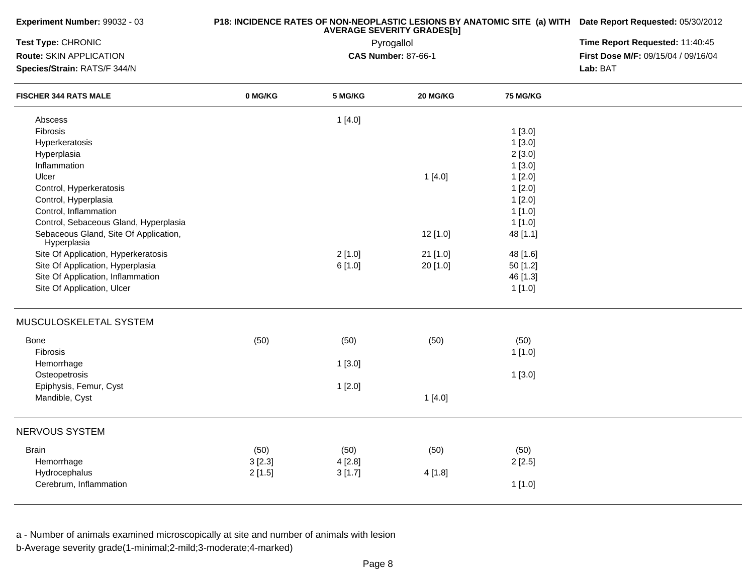| Experiment Number: 99032 - 03                        |         | P18: INCIDENCE RATES OF NON-NEOPLASTIC LESIONS BY ANATOMIC SITE (a) WITH Date Report Requested: 05/30/2012<br>Time Report Requested: 11:40:45 |                            |                 |                                     |
|------------------------------------------------------|---------|-----------------------------------------------------------------------------------------------------------------------------------------------|----------------------------|-----------------|-------------------------------------|
| Test Type: CHRONIC                                   |         |                                                                                                                                               |                            |                 |                                     |
| Route: SKIN APPLICATION                              |         |                                                                                                                                               | <b>CAS Number: 87-66-1</b> |                 | First Dose M/F: 09/15/04 / 09/16/04 |
| Species/Strain: RATS/F 344/N                         |         |                                                                                                                                               |                            |                 | Lab: BAT                            |
| <b>FISCHER 344 RATS MALE</b>                         | 0 MG/KG | 5 MG/KG                                                                                                                                       | 20 MG/KG                   | <b>75 MG/KG</b> |                                     |
| Abscess                                              |         | 1[4.0]                                                                                                                                        |                            |                 |                                     |
| Fibrosis                                             |         |                                                                                                                                               |                            | 1[3.0]          |                                     |
| Hyperkeratosis                                       |         |                                                                                                                                               |                            | 1[3.0]          |                                     |
| Hyperplasia                                          |         |                                                                                                                                               |                            | 2[3.0]          |                                     |
| Inflammation                                         |         |                                                                                                                                               |                            | 1[3.0]          |                                     |
| Ulcer                                                |         |                                                                                                                                               | 1[4.0]                     | 1[2.0]          |                                     |
| Control, Hyperkeratosis                              |         |                                                                                                                                               |                            | 1[2.0]          |                                     |
| Control, Hyperplasia                                 |         |                                                                                                                                               |                            | 1[2.0]          |                                     |
| Control, Inflammation                                |         |                                                                                                                                               |                            | 1[1.0]          |                                     |
| Control, Sebaceous Gland, Hyperplasia                |         |                                                                                                                                               |                            | 1[1.0]          |                                     |
| Sebaceous Gland, Site Of Application,<br>Hyperplasia |         |                                                                                                                                               | 12 [1.0]                   | 48 [1.1]        |                                     |
| Site Of Application, Hyperkeratosis                  |         | 2[1.0]                                                                                                                                        | 21 [1.0]                   | 48 [1.6]        |                                     |
| Site Of Application, Hyperplasia                     |         | 6[1.0]                                                                                                                                        | 20 [1.0]                   | 50 [1.2]        |                                     |
| Site Of Application, Inflammation                    |         |                                                                                                                                               |                            | 46 [1.3]        |                                     |
| Site Of Application, Ulcer                           |         |                                                                                                                                               |                            | 1[1.0]          |                                     |
| MUSCULOSKELETAL SYSTEM                               |         |                                                                                                                                               |                            |                 |                                     |
| Bone                                                 | (50)    | (50)                                                                                                                                          | (50)                       | (50)            |                                     |
| Fibrosis                                             |         |                                                                                                                                               |                            | 1[1.0]          |                                     |
| Hemorrhage                                           |         | 1[3.0]                                                                                                                                        |                            |                 |                                     |
| Osteopetrosis                                        |         |                                                                                                                                               |                            | 1[3.0]          |                                     |
| Epiphysis, Femur, Cyst                               |         | 1[2.0]                                                                                                                                        |                            |                 |                                     |
| Mandible, Cyst                                       |         |                                                                                                                                               | 1[4.0]                     |                 |                                     |
| NERVOUS SYSTEM                                       |         |                                                                                                                                               |                            |                 |                                     |
| <b>Brain</b>                                         | (50)    | (50)                                                                                                                                          | (50)                       | (50)            |                                     |
| Hemorrhage                                           | 3[2.3]  | 4[2.8]                                                                                                                                        |                            | 2[2.5]          |                                     |
| Hydrocephalus                                        | 2[1.5]  | 3[1.7]                                                                                                                                        | 4[1.8]                     |                 |                                     |
| Cerebrum, Inflammation                               |         |                                                                                                                                               |                            | 1[1.0]          |                                     |
|                                                      |         |                                                                                                                                               |                            |                 |                                     |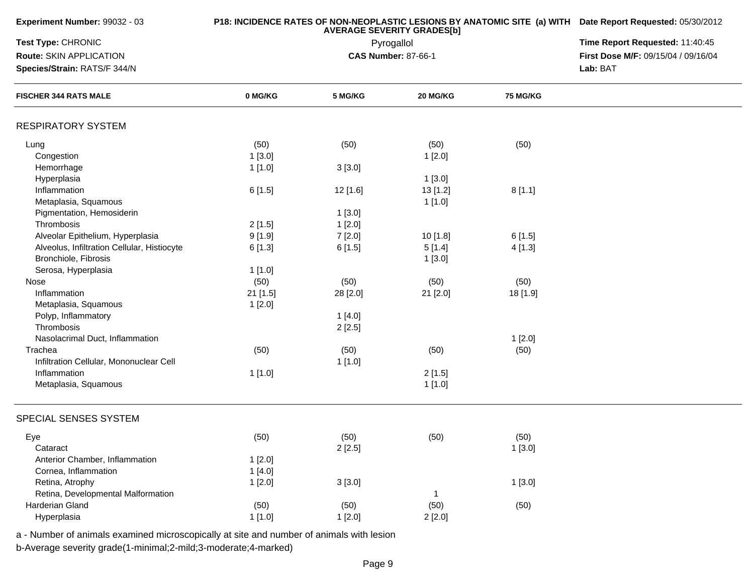| Experiment Number: 99032 - 03               |          | P18: INCIDENCE RATES OF NON-NEOPLASTIC LESIONS BY ANATOMIC SITE (a) WITH Date Report Requested: 05/30/2012 |                                          |                 |                                     |
|---------------------------------------------|----------|------------------------------------------------------------------------------------------------------------|------------------------------------------|-----------------|-------------------------------------|
| Test Type: CHRONIC                          |          | Time Report Requested: 11:40:45                                                                            |                                          |                 |                                     |
| Route: SKIN APPLICATION                     |          |                                                                                                            | Pyrogallol<br><b>CAS Number: 87-66-1</b> |                 | First Dose M/F: 09/15/04 / 09/16/04 |
| Species/Strain: RATS/F 344/N                |          |                                                                                                            |                                          |                 | Lab: BAT                            |
| <b>FISCHER 344 RATS MALE</b>                | 0 MG/KG  | 5 MG/KG                                                                                                    | 20 MG/KG                                 | <b>75 MG/KG</b> |                                     |
| <b>RESPIRATORY SYSTEM</b>                   |          |                                                                                                            |                                          |                 |                                     |
| Lung                                        | (50)     | (50)                                                                                                       | (50)                                     | (50)            |                                     |
| Congestion                                  | 1[3.0]   |                                                                                                            | 1[2.0]                                   |                 |                                     |
| Hemorrhage                                  | 1 [1.0]  | 3[3.0]                                                                                                     |                                          |                 |                                     |
| Hyperplasia                                 |          |                                                                                                            | 1[3.0]                                   |                 |                                     |
| Inflammation                                | 6[1.5]   | 12 [1.6]                                                                                                   | 13 [1.2]                                 | 8[1.1]          |                                     |
| Metaplasia, Squamous                        |          |                                                                                                            | 1 [1.0]                                  |                 |                                     |
| Pigmentation, Hemosiderin                   |          | 1[3.0]                                                                                                     |                                          |                 |                                     |
| Thrombosis                                  | 2[1.5]   | 1[2.0]                                                                                                     |                                          |                 |                                     |
| Alveolar Epithelium, Hyperplasia            | 9[1.9]   | 7[2.0]                                                                                                     | 10[1.8]                                  | 6[1.5]          |                                     |
| Alveolus, Infiltration Cellular, Histiocyte | 6[1.3]   | 6[1.5]                                                                                                     | 5[1.4]                                   | 4[1.3]          |                                     |
| Bronchiole, Fibrosis                        |          |                                                                                                            | 1[3.0]                                   |                 |                                     |
| Serosa, Hyperplasia                         | 1[1.0]   |                                                                                                            |                                          |                 |                                     |
| Nose                                        | (50)     | (50)                                                                                                       | (50)                                     | (50)            |                                     |
| Inflammation                                | 21 [1.5] | 28 [2.0]                                                                                                   | 21 [2.0]                                 | 18 [1.9]        |                                     |
| Metaplasia, Squamous                        | 1[2.0]   |                                                                                                            |                                          |                 |                                     |
| Polyp, Inflammatory                         |          | 1[4.0]                                                                                                     |                                          |                 |                                     |
| Thrombosis                                  |          | 2[2.5]                                                                                                     |                                          |                 |                                     |
| Nasolacrimal Duct, Inflammation             |          |                                                                                                            |                                          | 1[2.0]          |                                     |
| Trachea                                     | (50)     | (50)                                                                                                       | (50)                                     | (50)            |                                     |
| Infiltration Cellular, Mononuclear Cell     |          | 1[1.0]                                                                                                     |                                          |                 |                                     |
| Inflammation                                | 1[1.0]   |                                                                                                            | 2[1.5]                                   |                 |                                     |
| Metaplasia, Squamous                        |          |                                                                                                            | 1[1.0]                                   |                 |                                     |
|                                             |          |                                                                                                            |                                          |                 |                                     |
| SPECIAL SENSES SYSTEM                       |          |                                                                                                            |                                          |                 |                                     |
| Eye                                         | (50)     | (50)                                                                                                       | (50)                                     | (50)            |                                     |
| Cataract                                    |          | 2[2.5]                                                                                                     |                                          | 1[3.0]          |                                     |
| Anterior Chamber, Inflammation              | 1[2.0]   |                                                                                                            |                                          |                 |                                     |
| Cornea, Inflammation                        | 1[4.0]   |                                                                                                            |                                          |                 |                                     |
| Retina, Atrophy                             | 1[2.0]   | 3[3.0]                                                                                                     |                                          | 1[3.0]          |                                     |
| Retina, Developmental Malformation          |          |                                                                                                            | -1                                       |                 |                                     |
| Harderian Gland                             | (50)     | (50)                                                                                                       | (50)                                     | (50)            |                                     |
| Hyperplasia                                 | 1[1.0]   | 1[2.0]                                                                                                     | 2[2.0]                                   |                 |                                     |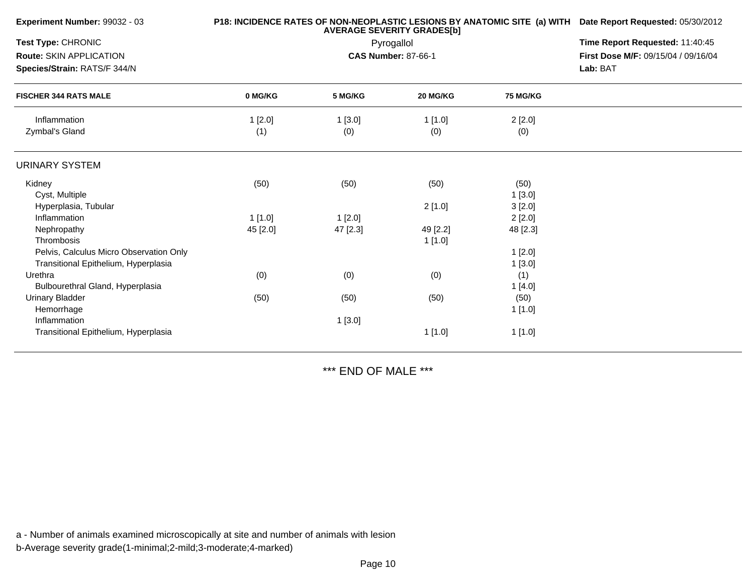| Experiment Number: 99032 - 03                                                   |               | P18: INCIDENCE RATES OF NON-NEOPLASTIC LESIONS BY ANATOMIC SITE (a) WITH Date Report Requested: 05/30/2012 |                    |                  |  |
|---------------------------------------------------------------------------------|---------------|------------------------------------------------------------------------------------------------------------|--------------------|------------------|--|
| Test Type: CHRONIC<br>Route: SKIN APPLICATION<br>Species/Strain: RATS/F 344/N   |               | Time Report Requested: 11:40:45<br>First Dose M/F: 09/15/04 / 09/16/04<br>Lab: BAT                         |                    |                  |  |
| <b>FISCHER 344 RATS MALE</b>                                                    | 0 MG/KG       | 5 MG/KG                                                                                                    | 20 MG/KG           | <b>75 MG/KG</b>  |  |
| Inflammation<br>Zymbal's Gland                                                  | 1[2.0]<br>(1) | 1[3.0]<br>(0)                                                                                              | 1[1.0]<br>(0)      | 2[2.0]<br>(0)    |  |
| <b>URINARY SYSTEM</b>                                                           |               |                                                                                                            |                    |                  |  |
| Kidney<br>Cyst, Multiple                                                        | (50)          | (50)                                                                                                       | (50)               | (50)<br>1[3.0]   |  |
| Hyperplasia, Tubular<br>Inflammation                                            | 1[1.0]        | 1[2.0]                                                                                                     | 2[1.0]             | 3[2.0]<br>2[2.0] |  |
| Nephropathy<br>Thrombosis                                                       | 45 [2.0]      | 47 [2.3]                                                                                                   | 49 [2.2]<br>1[1.0] | 48 [2.3]         |  |
| Pelvis, Calculus Micro Observation Only<br>Transitional Epithelium, Hyperplasia |               |                                                                                                            |                    | 1[2.0]<br>1[3.0] |  |
| Urethra<br>Bulbourethral Gland, Hyperplasia                                     | (0)           | (0)                                                                                                        | (0)                | (1)<br>1[4.0]    |  |
| <b>Urinary Bladder</b><br>Hemorrhage                                            | (50)          | (50)                                                                                                       | (50)               | (50)<br>1[1.0]   |  |
| Inflammation<br>Transitional Epithelium, Hyperplasia                            |               | 1[3.0]                                                                                                     | 1[1.0]             | 1[1.0]           |  |
|                                                                                 |               |                                                                                                            |                    |                  |  |

\*\*\* END OF MALE \*\*\*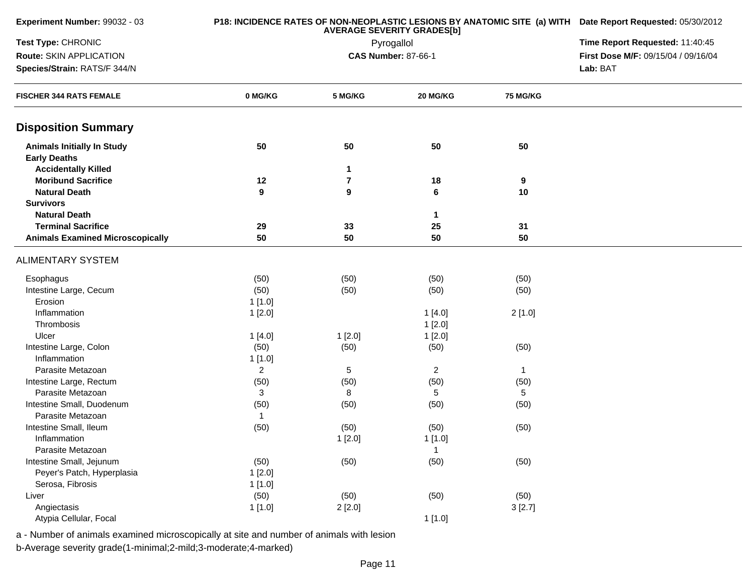| Experiment Number: 99032 - 03                            |              | P18: INCIDENCE RATES OF NON-NEOPLASTIC LESIONS BY ANATOMIC SITE (a) WITH Date Report Requested: 05/30/2012 |                            |                 |                                     |  |
|----------------------------------------------------------|--------------|------------------------------------------------------------------------------------------------------------|----------------------------|-----------------|-------------------------------------|--|
| Test Type: CHRONIC                                       |              | <b>AVERAGE SEVERITY GRADES[b]</b><br>Pyrogallol                                                            |                            |                 |                                     |  |
| Route: SKIN APPLICATION                                  |              |                                                                                                            | <b>CAS Number: 87-66-1</b> |                 | First Dose M/F: 09/15/04 / 09/16/04 |  |
| Species/Strain: RATS/F 344/N                             |              |                                                                                                            |                            |                 | Lab: BAT                            |  |
| <b>FISCHER 344 RATS FEMALE</b>                           | 0 MG/KG      | 5 MG/KG                                                                                                    | 20 MG/KG                   | <b>75 MG/KG</b> |                                     |  |
| <b>Disposition Summary</b>                               |              |                                                                                                            |                            |                 |                                     |  |
| <b>Animals Initially In Study</b><br><b>Early Deaths</b> | 50           | 50                                                                                                         | 50                         | 50              |                                     |  |
| <b>Accidentally Killed</b>                               |              | $\mathbf{1}$                                                                                               |                            |                 |                                     |  |
| <b>Moribund Sacrifice</b>                                | 12           | $\overline{7}$                                                                                             | 18                         | 9               |                                     |  |
| <b>Natural Death</b>                                     | 9            | $\boldsymbol{9}$                                                                                           | 6                          | 10              |                                     |  |
| <b>Survivors</b>                                         |              |                                                                                                            |                            |                 |                                     |  |
| <b>Natural Death</b>                                     |              |                                                                                                            | 1                          |                 |                                     |  |
| <b>Terminal Sacrifice</b>                                | 29           | 33                                                                                                         | 25                         | 31              |                                     |  |
| <b>Animals Examined Microscopically</b>                  | 50           | 50                                                                                                         | 50                         | 50              |                                     |  |
| <b>ALIMENTARY SYSTEM</b>                                 |              |                                                                                                            |                            |                 |                                     |  |
| Esophagus                                                | (50)         | (50)                                                                                                       | (50)                       | (50)            |                                     |  |
| Intestine Large, Cecum                                   | (50)         | (50)                                                                                                       | (50)                       | (50)            |                                     |  |
| Erosion                                                  | 1[1.0]       |                                                                                                            |                            |                 |                                     |  |
| Inflammation                                             | 1[2.0]       |                                                                                                            | 1[4.0]                     | 2[1.0]          |                                     |  |
| Thrombosis                                               |              |                                                                                                            | 1[2.0]                     |                 |                                     |  |
| Ulcer                                                    | 1[4.0]       | 1[2.0]                                                                                                     | 1[2.0]                     |                 |                                     |  |
| Intestine Large, Colon                                   | (50)         | (50)                                                                                                       | (50)                       | (50)            |                                     |  |
| Inflammation                                             | 1[1.0]       |                                                                                                            |                            |                 |                                     |  |
| Parasite Metazoan                                        | 2            | $\sqrt{5}$                                                                                                 | $\overline{a}$             | $\mathbf{1}$    |                                     |  |
| Intestine Large, Rectum                                  | (50)         | (50)                                                                                                       | (50)                       | (50)            |                                     |  |
| Parasite Metazoan                                        | 3            | 8                                                                                                          | 5                          | 5               |                                     |  |
| Intestine Small, Duodenum                                | (50)         | (50)                                                                                                       | (50)                       | (50)            |                                     |  |
| Parasite Metazoan                                        | $\mathbf{1}$ |                                                                                                            |                            |                 |                                     |  |
| Intestine Small, Ileum                                   | (50)         | (50)                                                                                                       | (50)                       | (50)            |                                     |  |
| Inflammation                                             |              | 1[2.0]                                                                                                     | 1[1.0]                     |                 |                                     |  |
| Parasite Metazoan                                        |              |                                                                                                            | $\mathbf{1}$               |                 |                                     |  |
| Intestine Small, Jejunum                                 | (50)         | (50)                                                                                                       | (50)                       | (50)            |                                     |  |
| Peyer's Patch, Hyperplasia                               | 1[2.0]       |                                                                                                            |                            |                 |                                     |  |
| Serosa, Fibrosis                                         | 1[1.0]       |                                                                                                            |                            |                 |                                     |  |
| Liver                                                    | (50)         | (50)                                                                                                       | (50)                       | (50)            |                                     |  |
| Angiectasis                                              | 1[1.0]       | 2[2.0]                                                                                                     |                            | 3[2.7]          |                                     |  |
| Atypia Cellular, Focal                                   |              |                                                                                                            | 1[1.0]                     |                 |                                     |  |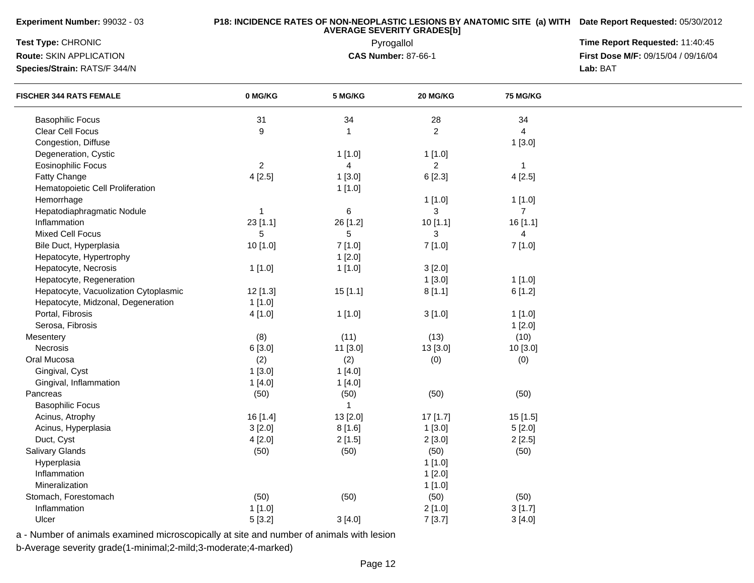**Experiment Number:** 99032 - 03

## **P18: INCIDENCE RATES OF NON-NEOPLASTIC LESIONS BY ANATOMIC SITE (a) WITH AVERAGE SEVERITY GRADES[b] Date Report Requested:** 05/30/2012

| <b>Test Type: CHRONIC</b>             |                | Pyrogallol                 | Time Report Requested: 11:40:45 |                                     |          |
|---------------------------------------|----------------|----------------------------|---------------------------------|-------------------------------------|----------|
| Route: SKIN APPLICATION               |                | <b>CAS Number: 87-66-1</b> |                                 | First Dose M/F: 09/15/04 / 09/16/04 |          |
| Species/Strain: RATS/F 344/N          |                |                            |                                 |                                     | Lab: BAT |
| <b>FISCHER 344 RATS FEMALE</b>        | 0 MG/KG        | 5 MG/KG                    | 20 MG/KG                        | <b>75 MG/KG</b>                     |          |
| <b>Basophilic Focus</b>               | 31             | 34                         | 28                              | 34                                  |          |
| Clear Cell Focus                      | 9              | $\mathbf{1}$               | $\boldsymbol{2}$                | $\overline{4}$                      |          |
| Congestion, Diffuse                   |                |                            |                                 | 1[3.0]                              |          |
| Degeneration, Cystic                  |                | 1[1.0]                     | 1[1.0]                          |                                     |          |
| <b>Eosinophilic Focus</b>             | $\overline{2}$ | 4                          | $\overline{a}$                  | $\mathbf{1}$                        |          |
| Fatty Change                          | 4[2.5]         | 1[3.0]                     | 6 [2.3]                         | 4[2.5]                              |          |
| Hematopoietic Cell Proliferation      |                | 1[1.0]                     |                                 |                                     |          |
| Hemorrhage                            |                |                            | 1[1.0]                          | 1[1.0]                              |          |
| Hepatodiaphragmatic Nodule            | $\mathbf{1}$   | $\,6$                      | 3                               | $\overline{7}$                      |          |
| Inflammation                          | 23 [1.1]       | 26 [1.2]                   | 10 [1.1]                        | 16 [1.1]                            |          |
| <b>Mixed Cell Focus</b>               | 5              | 5                          | 3                               | 4                                   |          |
| Bile Duct, Hyperplasia                | 10 [1.0]       | 7[1.0]                     | 7[1.0]                          | 7[1.0]                              |          |
| Hepatocyte, Hypertrophy               |                | 1[2.0]                     |                                 |                                     |          |
| Hepatocyte, Necrosis                  | 1[1.0]         | 1[1.0]                     | 3[2.0]                          |                                     |          |
| Hepatocyte, Regeneration              |                |                            | 1[3.0]                          | 1[1.0]                              |          |
| Hepatocyte, Vacuolization Cytoplasmic | 12 [1.3]       | 15[1.1]                    | 8[1.1]                          | 6[1.2]                              |          |
| Hepatocyte, Midzonal, Degeneration    | 1[1.0]         |                            |                                 |                                     |          |
| Portal, Fibrosis                      | 4[1.0]         | 1[1.0]                     | 3[1.0]                          | $1$ [1.0]                           |          |
| Serosa, Fibrosis                      |                |                            |                                 | 1[2.0]                              |          |
| Mesentery                             | (8)            | (11)                       | (13)                            | (10)                                |          |
| Necrosis                              | 6[3.0]         | 11 [3.0]                   | 13 [3.0]                        | 10 [3.0]                            |          |
| Oral Mucosa                           | (2)            | (2)                        | (0)                             | (0)                                 |          |
| Gingival, Cyst                        | 1[3.0]         | 1[4.0]                     |                                 |                                     |          |
| Gingival, Inflammation                | 1[4.0]         | 1[4.0]                     |                                 |                                     |          |
| Pancreas                              | (50)           | (50)                       | (50)                            | (50)                                |          |
| <b>Basophilic Focus</b>               |                | $\overline{1}$             |                                 |                                     |          |
| Acinus, Atrophy                       | 16 [1.4]       | 13 [2.0]                   | 17 [1.7]                        | 15 [1.5]                            |          |
| Acinus, Hyperplasia                   | 3[2.0]         | 8[1.6]                     | 1[3.0]                          | 5[2.0]                              |          |
| Duct, Cyst                            | 4[2.0]         | 2[1.5]                     | 2[3.0]                          | 2[2.5]                              |          |
| Salivary Glands                       | (50)           | (50)                       | (50)                            | (50)                                |          |
| Hyperplasia                           |                |                            | 1[1.0]                          |                                     |          |
| Inflammation                          |                |                            | 1[2.0]                          |                                     |          |
| Mineralization                        |                |                            | 1[1.0]                          |                                     |          |
| Stomach, Forestomach                  | (50)           | (50)                       | (50)                            | (50)                                |          |
| Inflammation                          | 1[1.0]         |                            | 2[1.0]                          | 3[1.7]                              |          |
| Ulcer                                 | 5[3.2]         | 3[4.0]                     | 7[3.7]                          | 3[4.0]                              |          |

a - Number of animals examined microscopically at site and number of animals with lesion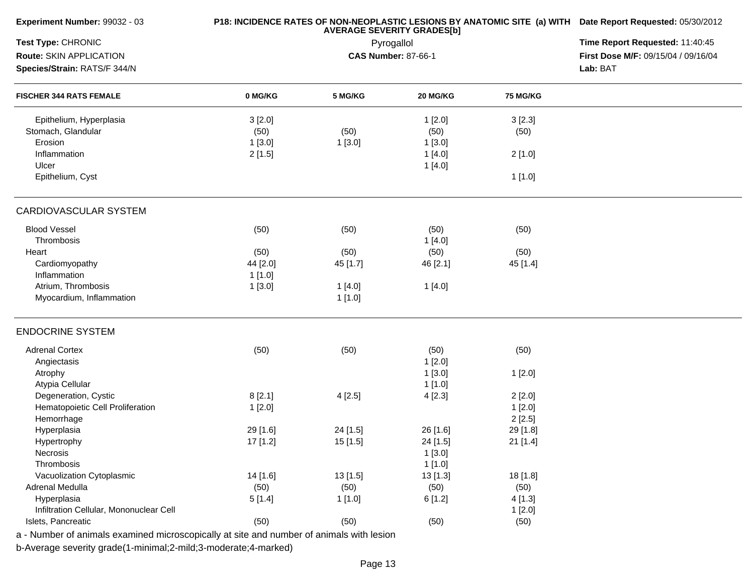| Experiment Number: 99032 - 03                                                            |          | P18: INCIDENCE RATES OF NON-NEOPLASTIC LESIONS BY ANATOMIC SITE (a) WITH Date Report Requested: 05/30/2012<br><b>AVERAGE SEVERITY GRADES[b]</b><br>Pyrogallol |                            |                 |                                     |  |
|------------------------------------------------------------------------------------------|----------|---------------------------------------------------------------------------------------------------------------------------------------------------------------|----------------------------|-----------------|-------------------------------------|--|
| Test Type: CHRONIC                                                                       |          |                                                                                                                                                               |                            |                 |                                     |  |
| Route: SKIN APPLICATION                                                                  |          |                                                                                                                                                               | <b>CAS Number: 87-66-1</b> |                 | First Dose M/F: 09/15/04 / 09/16/04 |  |
| Species/Strain: RATS/F 344/N                                                             |          |                                                                                                                                                               |                            |                 | Lab: BAT                            |  |
| <b>FISCHER 344 RATS FEMALE</b>                                                           | 0 MG/KG  | 5 MG/KG                                                                                                                                                       | 20 MG/KG                   | <b>75 MG/KG</b> |                                     |  |
| Epithelium, Hyperplasia                                                                  | 3[2.0]   |                                                                                                                                                               | 1[2.0]                     | 3[2.3]          |                                     |  |
| Stomach, Glandular                                                                       | (50)     | (50)                                                                                                                                                          | (50)                       | (50)            |                                     |  |
| Erosion                                                                                  | 1[3.0]   | 1[3.0]                                                                                                                                                        | 1[3.0]                     |                 |                                     |  |
| Inflammation                                                                             | 2[1.5]   |                                                                                                                                                               | 1[4.0]                     | 2[1.0]          |                                     |  |
| Ulcer                                                                                    |          |                                                                                                                                                               | 1[4.0]                     |                 |                                     |  |
| Epithelium, Cyst                                                                         |          |                                                                                                                                                               |                            | 1[1.0]          |                                     |  |
| <b>CARDIOVASCULAR SYSTEM</b>                                                             |          |                                                                                                                                                               |                            |                 |                                     |  |
| <b>Blood Vessel</b>                                                                      | (50)     | (50)                                                                                                                                                          | (50)                       | (50)            |                                     |  |
| Thrombosis                                                                               |          |                                                                                                                                                               | 1[4.0]                     |                 |                                     |  |
| Heart                                                                                    | (50)     | (50)                                                                                                                                                          | (50)                       | (50)            |                                     |  |
| Cardiomyopathy                                                                           | 44 [2.0] | 45 [1.7]                                                                                                                                                      | 46 [2.1]                   | 45 [1.4]        |                                     |  |
| Inflammation                                                                             | 1[1.0]   |                                                                                                                                                               |                            |                 |                                     |  |
| Atrium, Thrombosis                                                                       | 1[3.0]   | 1[4.0]                                                                                                                                                        | 1[4.0]                     |                 |                                     |  |
| Myocardium, Inflammation                                                                 |          | 1[1.0]                                                                                                                                                        |                            |                 |                                     |  |
| <b>ENDOCRINE SYSTEM</b>                                                                  |          |                                                                                                                                                               |                            |                 |                                     |  |
| <b>Adrenal Cortex</b>                                                                    | (50)     | (50)                                                                                                                                                          | (50)                       | (50)            |                                     |  |
| Angiectasis                                                                              |          |                                                                                                                                                               | 1[2.0]                     |                 |                                     |  |
| Atrophy                                                                                  |          |                                                                                                                                                               | 1[3.0]                     | 1[2.0]          |                                     |  |
| Atypia Cellular                                                                          |          |                                                                                                                                                               | 1[1.0]                     |                 |                                     |  |
| Degeneration, Cystic                                                                     | 8[2.1]   | 4[2.5]                                                                                                                                                        | 4[2.3]                     | 2[2.0]          |                                     |  |
| Hematopoietic Cell Proliferation                                                         | 1[2.0]   |                                                                                                                                                               |                            | 1[2.0]          |                                     |  |
| Hemorrhage                                                                               |          |                                                                                                                                                               |                            | 2[2.5]          |                                     |  |
| Hyperplasia                                                                              | 29 [1.6] | 24 [1.5]                                                                                                                                                      | 26 [1.6]                   | 29 [1.8]        |                                     |  |
| Hypertrophy                                                                              | 17 [1.2] | 15 [1.5]                                                                                                                                                      | 24 [1.5]                   | 21 [1.4]        |                                     |  |
| <b>Necrosis</b>                                                                          |          |                                                                                                                                                               | 1[3.0]                     |                 |                                     |  |
| Thrombosis                                                                               |          |                                                                                                                                                               | 1[1.0]                     |                 |                                     |  |
| Vacuolization Cytoplasmic                                                                | 14 [1.6] | 13[1.5]                                                                                                                                                       | 13 [1.3]                   | 18 [1.8]        |                                     |  |
| Adrenal Medulla                                                                          | (50)     | (50)                                                                                                                                                          | (50)                       | (50)            |                                     |  |
| Hyperplasia                                                                              | 5[1.4]   | 1 [1.0]                                                                                                                                                       | 6[1.2]                     | 4[1.3]          |                                     |  |
| Infiltration Cellular, Mononuclear Cell                                                  |          |                                                                                                                                                               |                            | 1[2.0]          |                                     |  |
| Islets, Pancreatic                                                                       | (50)     | (50)                                                                                                                                                          | (50)                       | (50)            |                                     |  |
| a - Number of animals examined microscopically at site and number of animals with lesion |          |                                                                                                                                                               |                            |                 |                                     |  |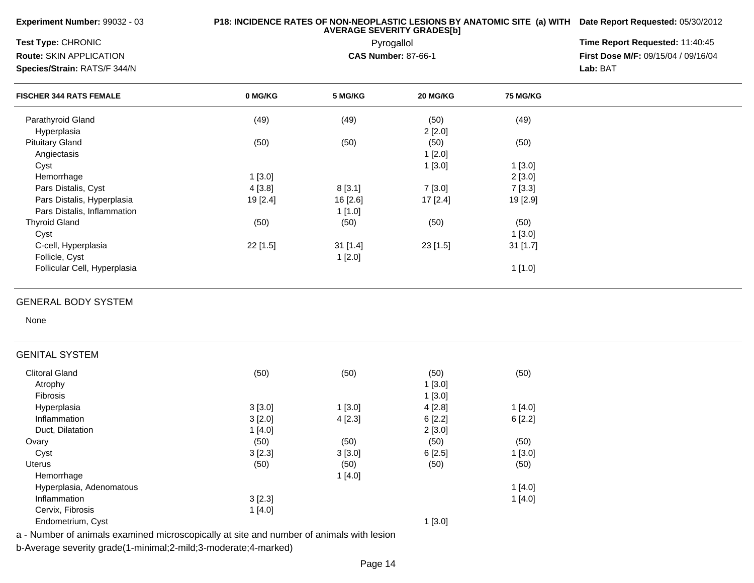| Experiment Number: 99032 - 03                                                            |          |            | <b>AVERAGE SEVERITY GRADES[b]</b> |                 | P18: INCIDENCE RATES OF NON-NEOPLASTIC LESIONS BY ANATOMIC SITE (a) WITH Date Report Requested: 05/30/2012<br>Time Report Requested: 11:40:45 |
|------------------------------------------------------------------------------------------|----------|------------|-----------------------------------|-----------------|-----------------------------------------------------------------------------------------------------------------------------------------------|
| Test Type: CHRONIC                                                                       |          |            | Pyrogallol                        |                 |                                                                                                                                               |
| Route: SKIN APPLICATION                                                                  |          |            | <b>CAS Number: 87-66-1</b>        |                 | First Dose M/F: 09/15/04 / 09/16/04                                                                                                           |
| Species/Strain: RATS/F 344/N                                                             |          |            |                                   |                 | Lab: BAT                                                                                                                                      |
| <b>FISCHER 344 RATS FEMALE</b>                                                           | 0 MG/KG  | 5 MG/KG    | 20 MG/KG                          | <b>75 MG/KG</b> |                                                                                                                                               |
| Parathyroid Gland                                                                        | (49)     | (49)       | (50)                              | (49)            |                                                                                                                                               |
| Hyperplasia                                                                              |          |            | 2[2.0]                            |                 |                                                                                                                                               |
| <b>Pituitary Gland</b>                                                                   | (50)     | (50)       | (50)                              | (50)            |                                                                                                                                               |
| Angiectasis                                                                              |          |            | 1[2.0]                            |                 |                                                                                                                                               |
| Cyst                                                                                     |          |            | 1[3.0]                            | 1[3.0]          |                                                                                                                                               |
| Hemorrhage                                                                               | 1[3.0]   |            |                                   | 2[3.0]          |                                                                                                                                               |
| Pars Distalis, Cyst                                                                      | 4[3.8]   | 8[3.1]     | 7[3.0]                            | 7[3.3]          |                                                                                                                                               |
| Pars Distalis, Hyperplasia                                                               | 19 [2.4] | 16 [2.6]   | 17 [2.4]                          | 19 [2.9]        |                                                                                                                                               |
| Pars Distalis, Inflammation                                                              |          | 1 [1.0]    |                                   |                 |                                                                                                                                               |
| <b>Thyroid Gland</b>                                                                     | (50)     | (50)       | (50)                              | (50)            |                                                                                                                                               |
| Cyst                                                                                     |          |            |                                   | 1[3.0]          |                                                                                                                                               |
| C-cell, Hyperplasia                                                                      | 22 [1.5] | $31$ [1.4] | 23 [1.5]                          | 31 [1.7]        |                                                                                                                                               |
| Follicle, Cyst                                                                           |          | 1[2.0]     |                                   |                 |                                                                                                                                               |
| Follicular Cell, Hyperplasia                                                             |          |            |                                   | 1[1.0]          |                                                                                                                                               |
|                                                                                          |          |            |                                   |                 |                                                                                                                                               |
| <b>GENERAL BODY SYSTEM</b><br>None                                                       |          |            |                                   |                 |                                                                                                                                               |
| <b>GENITAL SYSTEM</b>                                                                    |          |            |                                   |                 |                                                                                                                                               |
|                                                                                          |          |            |                                   |                 |                                                                                                                                               |
| <b>Clitoral Gland</b>                                                                    | (50)     | (50)       | (50)                              | (50)            |                                                                                                                                               |
| Atrophy                                                                                  |          |            | 1[3.0]                            |                 |                                                                                                                                               |
| Fibrosis                                                                                 |          |            | 1[3.0]                            |                 |                                                                                                                                               |
| Hyperplasia                                                                              | 3[3.0]   | 1[3.0]     | 4[2.8]                            | 1[4.0]          |                                                                                                                                               |
| Inflammation                                                                             | 3[2.0]   | 4[2.3]     | 6[2.2]                            | 6[2.2]          |                                                                                                                                               |
| Duct, Dilatation                                                                         | 1[4.0]   |            | 2[3.0]                            |                 |                                                                                                                                               |
| Ovary                                                                                    | (50)     | (50)       | (50)                              | (50)            |                                                                                                                                               |
| Cyst                                                                                     | 3[2.3]   | 3[3.0]     | 6[2.5]                            | 1[3.0]          |                                                                                                                                               |
| Uterus                                                                                   | (50)     | (50)       | (50)                              | (50)            |                                                                                                                                               |
| Hemorrhage                                                                               |          | 1[4.0]     |                                   |                 |                                                                                                                                               |
| Hyperplasia, Adenomatous                                                                 |          |            |                                   | 1[4.0]          |                                                                                                                                               |
| Inflammation                                                                             | 3[2.3]   |            |                                   | 1[4.0]          |                                                                                                                                               |
| Cervix, Fibrosis                                                                         | 1[4.0]   |            |                                   |                 |                                                                                                                                               |
| Endometrium, Cyst                                                                        |          |            | 1[3.0]                            |                 |                                                                                                                                               |
| a - Number of animals examined microscopically at site and number of animals with lesion |          |            |                                   |                 |                                                                                                                                               |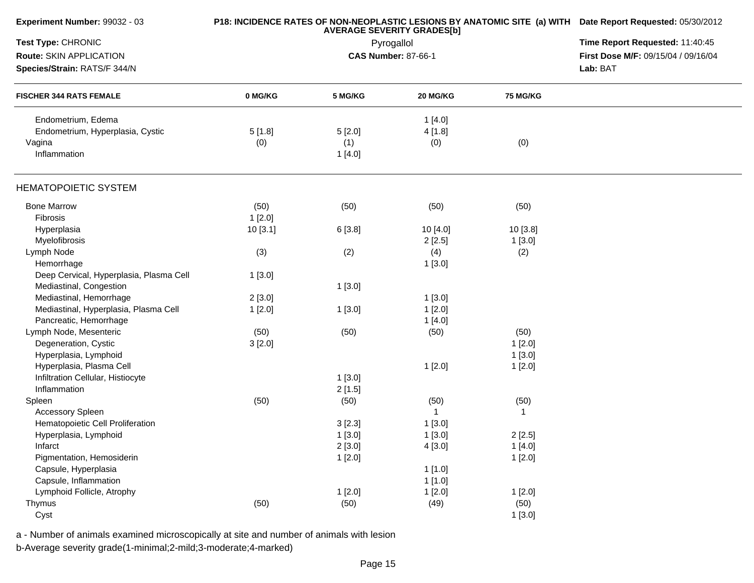| Experiment Number: 99032 - 03           |         | <b>AVERAGE SEVERITY GRADES[b]</b> |                                 | P18: INCIDENCE RATES OF NON-NEOPLASTIC LESIONS BY ANATOMIC SITE (a) WITH Date Report Requested: 05/30/2012 |                                                 |
|-----------------------------------------|---------|-----------------------------------|---------------------------------|------------------------------------------------------------------------------------------------------------|-------------------------------------------------|
| Test Type: CHRONIC                      |         | Pyrogallol                        | Time Report Requested: 11:40:45 |                                                                                                            |                                                 |
| Route: SKIN APPLICATION                 |         |                                   | <b>CAS Number: 87-66-1</b>      |                                                                                                            | First Dose M/F: 09/15/04 / 09/16/04<br>Lab: BAT |
| Species/Strain: RATS/F 344/N            |         |                                   |                                 |                                                                                                            |                                                 |
| <b>FISCHER 344 RATS FEMALE</b>          | 0 MG/KG | 5 MG/KG                           | 20 MG/KG                        | <b>75 MG/KG</b>                                                                                            |                                                 |
| Endometrium, Edema                      |         |                                   | 1[4.0]                          |                                                                                                            |                                                 |
| Endometrium, Hyperplasia, Cystic        | 5[1.8]  | 5[2.0]                            | 4 [1.8]                         |                                                                                                            |                                                 |
| Vagina                                  | (0)     | (1)                               | (0)                             | (0)                                                                                                        |                                                 |
| Inflammation                            |         | 1[4.0]                            |                                 |                                                                                                            |                                                 |
| <b>HEMATOPOIETIC SYSTEM</b>             |         |                                   |                                 |                                                                                                            |                                                 |
| <b>Bone Marrow</b>                      | (50)    | (50)                              | (50)                            | (50)                                                                                                       |                                                 |
| Fibrosis                                | 1[2.0]  |                                   |                                 |                                                                                                            |                                                 |
| Hyperplasia                             | 10[3.1] | 6[3.8]                            | 10 [4.0]                        | 10[3.8]                                                                                                    |                                                 |
| Myelofibrosis                           |         |                                   | 2[2.5]                          | 1[3.0]                                                                                                     |                                                 |
| Lymph Node                              | (3)     | (2)                               | (4)                             | (2)                                                                                                        |                                                 |
| Hemorrhage                              |         |                                   | 1[3.0]                          |                                                                                                            |                                                 |
| Deep Cervical, Hyperplasia, Plasma Cell | 1[3.0]  |                                   |                                 |                                                                                                            |                                                 |
| Mediastinal, Congestion                 |         | 1[3.0]                            |                                 |                                                                                                            |                                                 |
| Mediastinal, Hemorrhage                 | 2[3.0]  |                                   | 1[3.0]                          |                                                                                                            |                                                 |
| Mediastinal, Hyperplasia, Plasma Cell   | 1[2.0]  | 1[3.0]                            | 1[2.0]                          |                                                                                                            |                                                 |
| Pancreatic, Hemorrhage                  |         |                                   | 1[4.0]                          |                                                                                                            |                                                 |
| Lymph Node, Mesenteric                  | (50)    | (50)                              | (50)                            | (50)                                                                                                       |                                                 |
| Degeneration, Cystic                    | 3[2.0]  |                                   |                                 | 1[2.0]                                                                                                     |                                                 |
| Hyperplasia, Lymphoid                   |         |                                   |                                 | 1[3.0]                                                                                                     |                                                 |
| Hyperplasia, Plasma Cell                |         |                                   | 1[2.0]                          | 1[2.0]                                                                                                     |                                                 |
| Infiltration Cellular, Histiocyte       |         | 1[3.0]                            |                                 |                                                                                                            |                                                 |
| Inflammation                            |         | 2[1.5]                            |                                 |                                                                                                            |                                                 |
| Spleen                                  | (50)    | (50)                              | (50)                            | (50)                                                                                                       |                                                 |
| <b>Accessory Spleen</b>                 |         |                                   | $\mathbf 1$                     | $\mathbf{1}$                                                                                               |                                                 |
| Hematopoietic Cell Proliferation        |         | 3[2.3]                            | 1[3.0]                          |                                                                                                            |                                                 |
| Hyperplasia, Lymphoid                   |         | 1[3.0]                            | 1[3.0]                          | 2[2.5]                                                                                                     |                                                 |
| Infarct                                 |         | 2[3.0]                            | 4 [3.0]                         | 1[4.0]                                                                                                     |                                                 |
| Pigmentation, Hemosiderin               |         | 1[2.0]                            |                                 | 1[2.0]                                                                                                     |                                                 |
| Capsule, Hyperplasia                    |         |                                   | 1[1.0]                          |                                                                                                            |                                                 |
| Capsule, Inflammation                   |         |                                   | 1[1.0]                          |                                                                                                            |                                                 |
| Lymphoid Follicle, Atrophy              |         | 1[2.0]                            | 1[2.0]                          | 1[2.0]                                                                                                     |                                                 |
| Thymus                                  | (50)    | (50)                              | (49)                            | (50)                                                                                                       |                                                 |
| Cyst                                    |         |                                   |                                 | 1[3.0]                                                                                                     |                                                 |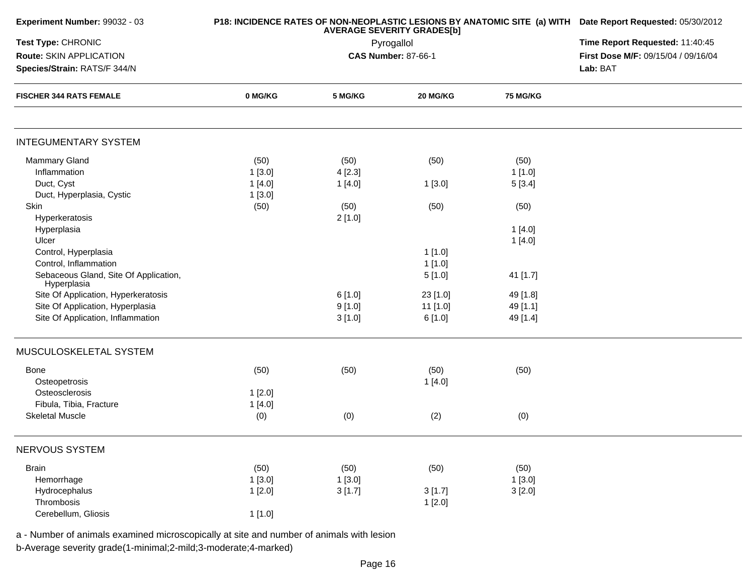| Experiment Number: 99032 - 03                        |         | <b>AVERAGE SEVERITY GRADES[b]</b> | P18: INCIDENCE RATES OF NON-NEOPLASTIC LESIONS BY ANATOMIC SITE (a) WITH Date Report Requested: 05/30/2012 |                 |          |
|------------------------------------------------------|---------|-----------------------------------|------------------------------------------------------------------------------------------------------------|-----------------|----------|
| Test Type: CHRONIC                                   |         | Pyrogallol                        | Time Report Requested: 11:40:45                                                                            |                 |          |
| Route: SKIN APPLICATION                              |         | <b>CAS Number: 87-66-1</b>        | First Dose M/F: 09/15/04 / 09/16/04                                                                        |                 |          |
| Species/Strain: RATS/F 344/N                         |         |                                   |                                                                                                            |                 | Lab: BAT |
| <b>FISCHER 344 RATS FEMALE</b>                       | 0 MG/KG | 5 MG/KG                           | 20 MG/KG                                                                                                   | <b>75 MG/KG</b> |          |
|                                                      |         |                                   |                                                                                                            |                 |          |
| <b>INTEGUMENTARY SYSTEM</b>                          |         |                                   |                                                                                                            |                 |          |
| <b>Mammary Gland</b>                                 | (50)    | (50)                              | (50)                                                                                                       | (50)            |          |
| Inflammation                                         | 1[3.0]  | 4[2.3]                            |                                                                                                            | 1[1.0]          |          |
| Duct, Cyst                                           | 1[4.0]  | 1 [4.0]                           | 1[3.0]                                                                                                     | 5[3.4]          |          |
| Duct, Hyperplasia, Cystic                            | 1[3.0]  |                                   |                                                                                                            |                 |          |
| Skin                                                 | (50)    | (50)                              | (50)                                                                                                       | (50)            |          |
| Hyperkeratosis                                       |         | 2[1.0]                            |                                                                                                            |                 |          |
| Hyperplasia                                          |         |                                   |                                                                                                            | 1[4.0]          |          |
| Ulcer                                                |         |                                   |                                                                                                            | 1[4.0]          |          |
| Control, Hyperplasia                                 |         |                                   | 1[1.0]                                                                                                     |                 |          |
| Control, Inflammation                                |         |                                   | 1[1.0]                                                                                                     |                 |          |
| Sebaceous Gland, Site Of Application,<br>Hyperplasia |         |                                   | 5[1.0]                                                                                                     | 41 [1.7]        |          |
| Site Of Application, Hyperkeratosis                  |         | 6[1.0]                            | 23 [1.0]                                                                                                   | 49 [1.8]        |          |
| Site Of Application, Hyperplasia                     |         | 9[1.0]                            | 11 [1.0]                                                                                                   | 49 [1.1]        |          |
| Site Of Application, Inflammation                    |         | 3[1.0]                            | 6[1.0]                                                                                                     | 49 [1.4]        |          |
| MUSCULOSKELETAL SYSTEM                               |         |                                   |                                                                                                            |                 |          |
| Bone                                                 | (50)    | (50)                              | (50)                                                                                                       | (50)            |          |
| Osteopetrosis                                        |         |                                   | 1[4.0]                                                                                                     |                 |          |
| Osteosclerosis                                       | 1[2.0]  |                                   |                                                                                                            |                 |          |
| Fibula, Tibia, Fracture                              | 1[4.0]  |                                   |                                                                                                            |                 |          |
| <b>Skeletal Muscle</b>                               | (0)     | (0)                               | (2)                                                                                                        | (0)             |          |
|                                                      |         |                                   |                                                                                                            |                 |          |
| NERVOUS SYSTEM                                       |         |                                   |                                                                                                            |                 |          |
| <b>Brain</b>                                         | (50)    | (50)                              | (50)                                                                                                       | (50)            |          |
| Hemorrhage                                           | 1[3.0]  | 1[3.0]                            |                                                                                                            | 1[3.0]          |          |
| Hydrocephalus                                        | 1[2.0]  | 3[1.7]                            | 3[1.7]                                                                                                     | 3[2.0]          |          |
| Thrombosis                                           |         |                                   | 1[2.0]                                                                                                     |                 |          |
| Cerebellum, Gliosis                                  | 1[1.0]  |                                   |                                                                                                            |                 |          |
|                                                      |         |                                   |                                                                                                            |                 |          |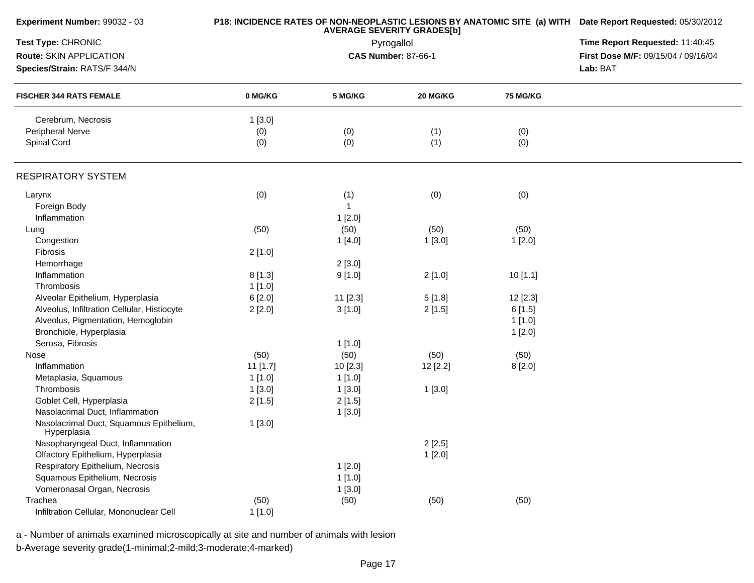| Experiment Number: 99032 - 03                          |          | <b>AVERAGE SEVERITY GRADES[b]</b> | P18: INCIDENCE RATES OF NON-NEOPLASTIC LESIONS BY ANATOMIC SITE (a) WITH Date Report Requested: 05/30/2012<br>Time Report Requested: 11:40:45 |                 |                                     |
|--------------------------------------------------------|----------|-----------------------------------|-----------------------------------------------------------------------------------------------------------------------------------------------|-----------------|-------------------------------------|
| Test Type: CHRONIC                                     |          | Pyrogallol                        |                                                                                                                                               |                 |                                     |
| Route: SKIN APPLICATION                                |          |                                   | <b>CAS Number: 87-66-1</b>                                                                                                                    |                 | First Dose M/F: 09/15/04 / 09/16/04 |
| Species/Strain: RATS/F 344/N                           |          |                                   |                                                                                                                                               | Lab: BAT        |                                     |
| <b>FISCHER 344 RATS FEMALE</b>                         | 0 MG/KG  | 5 MG/KG                           | 20 MG/KG                                                                                                                                      | <b>75 MG/KG</b> |                                     |
| Cerebrum, Necrosis                                     | 1[3.0]   |                                   |                                                                                                                                               |                 |                                     |
| Peripheral Nerve                                       | (0)      | (0)                               | (1)                                                                                                                                           | (0)             |                                     |
| Spinal Cord                                            | (0)      | (0)                               | (1)                                                                                                                                           | (0)             |                                     |
| <b>RESPIRATORY SYSTEM</b>                              |          |                                   |                                                                                                                                               |                 |                                     |
| Larynx                                                 | (0)      | (1)                               | (0)                                                                                                                                           | (0)             |                                     |
| Foreign Body                                           |          | $\mathbf{1}$                      |                                                                                                                                               |                 |                                     |
| Inflammation                                           |          | 1[2.0]                            |                                                                                                                                               |                 |                                     |
| Lung                                                   | (50)     | (50)                              | (50)                                                                                                                                          | (50)            |                                     |
| Congestion                                             |          | 1[4.0]                            | 1[3.0]                                                                                                                                        | 1[2.0]          |                                     |
| Fibrosis                                               | 2[1.0]   |                                   |                                                                                                                                               |                 |                                     |
| Hemorrhage                                             |          | 2[3.0]                            |                                                                                                                                               |                 |                                     |
| Inflammation                                           | 8[1.3]   | 9[1.0]                            | 2[1.0]                                                                                                                                        | 10[1.1]         |                                     |
| Thrombosis                                             | 1[1.0]   |                                   |                                                                                                                                               |                 |                                     |
| Alveolar Epithelium, Hyperplasia                       | 6[2.0]   | 11 [2.3]                          | 5[1.8]                                                                                                                                        | 12 [2.3]        |                                     |
| Alveolus, Infiltration Cellular, Histiocyte            | 2[2.0]   | 3[1.0]                            | 2[1.5]                                                                                                                                        | 6[1.5]          |                                     |
| Alveolus, Pigmentation, Hemoglobin                     |          |                                   |                                                                                                                                               | 1[1.0]          |                                     |
| Bronchiole, Hyperplasia                                |          |                                   |                                                                                                                                               | 1[2.0]          |                                     |
| Serosa, Fibrosis                                       |          | 1[1.0]                            |                                                                                                                                               |                 |                                     |
| Nose                                                   | (50)     | (50)                              | (50)                                                                                                                                          | (50)            |                                     |
| Inflammation                                           | 11 [1.7] | 10[2.3]                           | 12 [2.2]                                                                                                                                      | 8[2.0]          |                                     |
| Metaplasia, Squamous                                   | 1[1.0]   | 1 [1.0]                           |                                                                                                                                               |                 |                                     |
| Thrombosis                                             | 1[3.0]   | 1[3.0]                            | 1[3.0]                                                                                                                                        |                 |                                     |
| Goblet Cell, Hyperplasia                               | 2[1.5]   | 2[1.5]                            |                                                                                                                                               |                 |                                     |
| Nasolacrimal Duct, Inflammation                        |          | 1[3.0]                            |                                                                                                                                               |                 |                                     |
| Nasolacrimal Duct, Squamous Epithelium,<br>Hyperplasia | 1[3.0]   |                                   |                                                                                                                                               |                 |                                     |
| Nasopharyngeal Duct, Inflammation                      |          |                                   | 2[2.5]                                                                                                                                        |                 |                                     |
| Olfactory Epithelium, Hyperplasia                      |          |                                   | 1[2.0]                                                                                                                                        |                 |                                     |
| Respiratory Epithelium, Necrosis                       |          | 1[2.0]                            |                                                                                                                                               |                 |                                     |
| Squamous Epithelium, Necrosis                          |          | 1[1.0]                            |                                                                                                                                               |                 |                                     |
| Vomeronasal Organ, Necrosis                            |          | 1[3.0]                            |                                                                                                                                               |                 |                                     |
| Trachea                                                | (50)     | (50)                              | (50)                                                                                                                                          | (50)            |                                     |
| Infiltration Cellular, Mononuclear Cell                | 1[1.0]   |                                   |                                                                                                                                               |                 |                                     |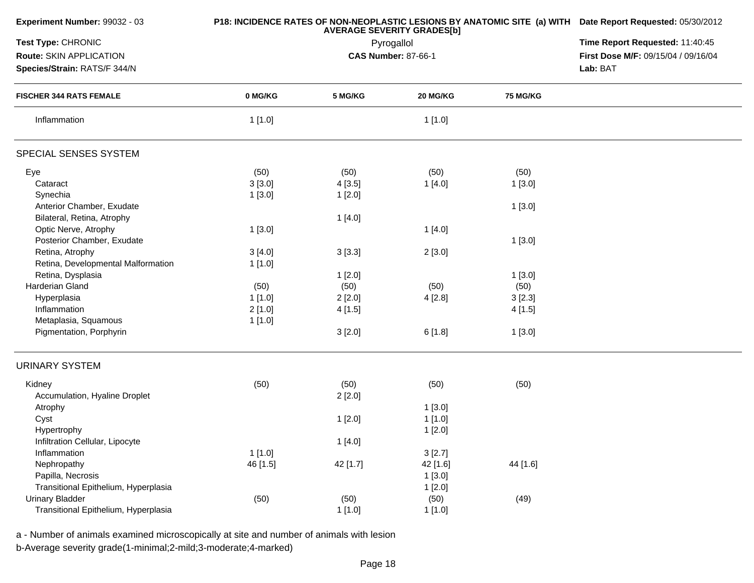| <b>Experiment Number: 99032 - 03</b> |          | <b>AVERAGE SEVERITY GRADES[b]</b> | P18: INCIDENCE RATES OF NON-NEOPLASTIC LESIONS BY ANATOMIC SITE (a) WITH Date Report Requested: 05/30/2012 |                 |                                     |
|--------------------------------------|----------|-----------------------------------|------------------------------------------------------------------------------------------------------------|-----------------|-------------------------------------|
| Test Type: CHRONIC                   |          | Pyrogallol                        | Time Report Requested: 11:40:45                                                                            |                 |                                     |
| Route: SKIN APPLICATION              |          |                                   | <b>CAS Number: 87-66-1</b>                                                                                 |                 | First Dose M/F: 09/15/04 / 09/16/04 |
| Species/Strain: RATS/F 344/N         |          |                                   |                                                                                                            |                 | Lab: BAT                            |
| <b>FISCHER 344 RATS FEMALE</b>       | 0 MG/KG  | 5 MG/KG                           | 20 MG/KG                                                                                                   | <b>75 MG/KG</b> |                                     |
| Inflammation                         | 1[1.0]   |                                   | 1[1.0]                                                                                                     |                 |                                     |
| SPECIAL SENSES SYSTEM                |          |                                   |                                                                                                            |                 |                                     |
| Eye                                  | (50)     | (50)                              | (50)                                                                                                       | (50)            |                                     |
| Cataract                             | 3[3.0]   | 4[3.5]                            | 1[4.0]                                                                                                     | 1[3.0]          |                                     |
| Synechia                             | 1[3.0]   | 1[2.0]                            |                                                                                                            |                 |                                     |
| Anterior Chamber, Exudate            |          |                                   |                                                                                                            | 1[3.0]          |                                     |
| Bilateral, Retina, Atrophy           |          | 1[4.0]                            |                                                                                                            |                 |                                     |
| Optic Nerve, Atrophy                 | 1[3.0]   |                                   | 1[4.0]                                                                                                     |                 |                                     |
| Posterior Chamber, Exudate           |          |                                   |                                                                                                            | 1[3.0]          |                                     |
| Retina, Atrophy                      | 3[4.0]   | 3[3.3]                            | 2[3.0]                                                                                                     |                 |                                     |
| Retina, Developmental Malformation   | 1[1.0]   |                                   |                                                                                                            |                 |                                     |
| Retina, Dysplasia                    |          | 1[2.0]                            |                                                                                                            | 1[3.0]          |                                     |
| Harderian Gland                      | (50)     | (50)                              | (50)                                                                                                       | (50)            |                                     |
| Hyperplasia                          | 1[1.0]   | 2[2.0]                            | 4[2.8]                                                                                                     | 3[2.3]          |                                     |
| Inflammation                         | 2[1.0]   | 4[1.5]                            |                                                                                                            | 4[1.5]          |                                     |
| Metaplasia, Squamous                 | 1[1.0]   |                                   |                                                                                                            |                 |                                     |
| Pigmentation, Porphyrin              |          | 3[2.0]                            | 6[1.8]                                                                                                     | 1[3.0]          |                                     |
| <b>URINARY SYSTEM</b>                |          |                                   |                                                                                                            |                 |                                     |
| Kidney                               | (50)     | (50)                              | (50)                                                                                                       | (50)            |                                     |
| Accumulation, Hyaline Droplet        |          | 2[2.0]                            |                                                                                                            |                 |                                     |
| Atrophy                              |          |                                   | 1[3.0]                                                                                                     |                 |                                     |
| Cyst                                 |          | 1[2.0]                            | 1[1.0]                                                                                                     |                 |                                     |
| Hypertrophy                          |          |                                   | 1[2.0]                                                                                                     |                 |                                     |
| Infiltration Cellular, Lipocyte      |          | 1[4.0]                            |                                                                                                            |                 |                                     |
| Inflammation                         | 1[1.0]   |                                   | 3[2.7]                                                                                                     |                 |                                     |
| Nephropathy                          | 46 [1.5] | 42 [1.7]                          | 42 [1.6]                                                                                                   | 44 [1.6]        |                                     |
| Papilla, Necrosis                    |          |                                   | 1[3.0]                                                                                                     |                 |                                     |
| Transitional Epithelium, Hyperplasia |          |                                   | 1[2.0]                                                                                                     |                 |                                     |
| <b>Urinary Bladder</b>               | (50)     | (50)                              | (50)                                                                                                       | (49)            |                                     |
| Transitional Epithelium, Hyperplasia |          | 1[1.0]                            | 1[1.0]                                                                                                     |                 |                                     |
|                                      |          |                                   |                                                                                                            |                 |                                     |